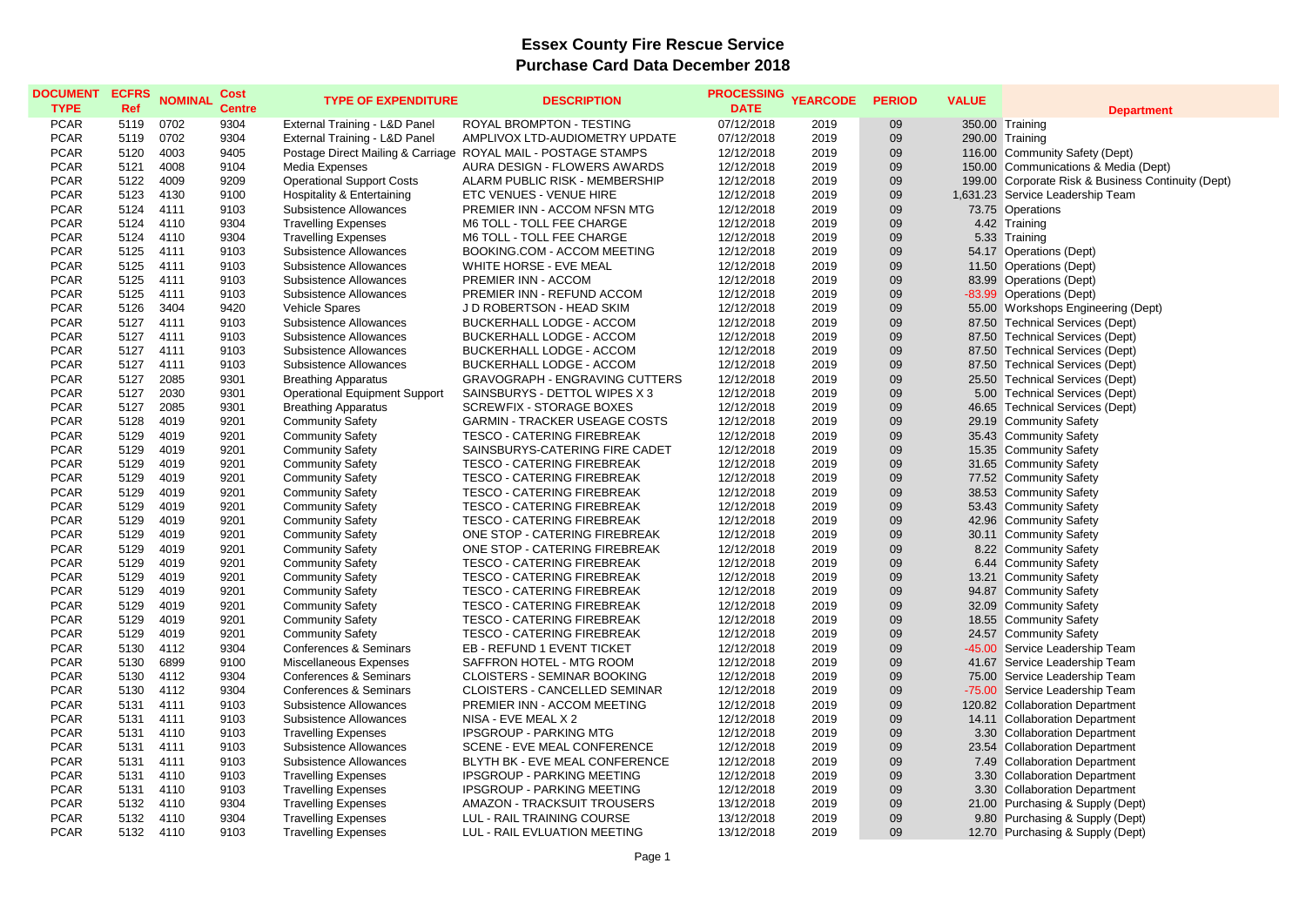| 07/12/2018<br><b>PCAR</b><br>5119<br>0702<br>9304<br>External Training - L&D Panel<br><b>ROYAL BROMPTON - TESTING</b><br>2019<br>09<br>350.00 Training<br><b>PCAR</b><br>5119<br>0702<br>9304<br>2019<br>09<br>290.00 Training<br>External Training - L&D Panel<br>AMPLIVOX LTD-AUDIOMETRY UPDATE<br>07/12/2018<br><b>PCAR</b><br>4003<br>9405<br>Postage Direct Mailing & Carriage ROYAL MAIL - POSTAGE STAMPS<br>09<br>5120<br>12/12/2018<br>2019<br>116.00 Community Safety (Dept)<br><b>PCAR</b><br>5121<br>4008<br>9104<br>AURA DESIGN - FLOWERS AWARDS<br>12/12/2018<br>09<br>Media Expenses<br>2019<br>150.00 Communications & Media (Dept)<br>09<br><b>PCAR</b><br>5122<br>4009<br>9209<br><b>Operational Support Costs</b><br>ALARM PUBLIC RISK - MEMBERSHIP<br>12/12/2018<br>2019<br>199.00<br>Corporate Risk & Business Continuity (Dept)<br><b>PCAR</b><br>ETC VENUES - VENUE HIRE<br>09<br>5123<br>4130<br>9100<br>Hospitality & Entertaining<br>12/12/2018<br>2019<br>1,631.23<br>Service Leadership Team<br><b>PCAR</b><br>5124<br>09<br>4111<br>9103<br>Subsistence Allowances<br>PREMIER INN - ACCOM NFSN MTG<br>12/12/2018<br>2019<br>73.75 Operations<br><b>PCAR</b><br>09<br>5124<br>4110<br>9304<br><b>Travelling Expenses</b><br>12/12/2018<br>2019<br>4.42 Training<br>M6 TOLL - TOLL FEE CHARGE<br><b>PCAR</b><br>9304<br>M6 TOLL - TOLL FEE CHARGE<br>12/12/2018<br>09<br>5124<br>4110<br><b>Travelling Expenses</b><br>2019<br>5.33 Training<br>09<br><b>PCAR</b><br>5125<br>4111<br>9103<br>Subsistence Allowances<br>BOOKING.COM - ACCOM MEETING<br>12/12/2018<br>2019<br>54.17 Operations (Dept)<br>09<br><b>PCAR</b><br>5125<br>4111<br>9103<br>WHITE HORSE - EVE MEAL<br>12/12/2018<br>2019<br><b>Operations (Dept)</b><br>Subsistence Allowances<br>11.50<br><b>PCAR</b><br>09<br>5125<br>4111<br>9103<br>Subsistence Allowances<br>PREMIER INN - ACCOM<br>12/12/2018<br>2019<br>83.99 Operations (Dept)<br><b>PCAR</b><br>5125<br>4111<br>09<br>-83.99 Operations (Dept)<br>9103<br>Subsistence Allowances<br>PREMIER INN - REFUND ACCOM<br>12/12/2018<br>2019<br><b>PCAR</b><br>5126<br>3404<br>9420<br>J D ROBERTSON - HEAD SKIM<br>12/12/2018<br>2019<br>09<br>55.00 Workshops Engineering (Dept)<br><b>Vehicle Spares</b><br>09<br><b>PCAR</b><br>4111<br>9103<br><b>BUCKERHALL LODGE - ACCOM</b><br>2019<br>87.50 Technical Services (Dept)<br>5127<br>Subsistence Allowances<br>12/12/2018<br><b>PCAR</b><br>09<br>5127<br>4111<br>9103<br>Subsistence Allowances<br><b>BUCKERHALL LODGE - ACCOM</b><br>12/12/2018<br>2019<br>87.50 Technical Services (Dept)<br><b>PCAR</b><br>5127<br>4111<br>9103<br><b>BUCKERHALL LODGE - ACCOM</b><br>09<br>Subsistence Allowances<br>12/12/2018<br>2019<br>87.50 Technical Services (Dept)<br><b>PCAR</b><br>09<br>87.50 Technical Services (Dept)<br>5127<br>4111<br>9103<br>Subsistence Allowances<br><b>BUCKERHALL LODGE - ACCOM</b><br>12/12/2018<br>2019<br><b>PCAR</b><br>5127<br>2085<br>9301<br><b>GRAVOGRAPH - ENGRAVING CUTTERS</b><br>12/12/2018<br>09<br>25.50 Technical Services (Dept)<br><b>Breathing Apparatus</b><br>2019<br>09<br><b>PCAR</b><br>5127<br>2030<br>9301<br><b>Operational Equipment Support</b><br>SAINSBURYS - DETTOL WIPES X 3<br>12/12/2018<br>2019<br>5.00 Technical Services (Dept)<br><b>PCAR</b><br>09<br>5127<br>2085<br>9301<br><b>Breathing Apparatus</b><br><b>SCREWFIX - STORAGE BOXES</b><br>12/12/2018<br>2019<br>46.65 Technical Services (Dept)<br><b>PCAR</b><br>09<br>5128<br>4019<br>9201<br><b>Community Safety</b><br><b>GARMIN - TRACKER USEAGE COSTS</b><br>12/12/2018<br>2019<br>29.19 Community Safety<br><b>PCAR</b><br>5129<br>4019<br>9201<br><b>Community Safety</b><br><b>TESCO - CATERING FIREBREAK</b><br>12/12/2018<br>2019<br>09<br>35.43 Community Safety<br><b>PCAR</b><br>4019<br>9201<br>09<br>5129<br><b>Community Safety</b><br>SAINSBURYS-CATERING FIRE CADET<br>12/12/2018<br>2019<br>15.35 Community Safety<br>09<br><b>PCAR</b><br>5129<br>4019<br>9201<br><b>Community Safety</b><br><b>TESCO - CATERING FIREBREAK</b><br>2019<br>31.65 Community Safety<br>12/12/2018<br>09<br><b>PCAR</b><br>5129<br>4019<br>9201<br>77.52 Community Safety<br><b>Community Safety</b><br><b>TESCO - CATERING FIREBREAK</b><br>12/12/2018<br>2019<br>38.53 Community Safety<br><b>PCAR</b><br>5129<br>4019<br>9201<br><b>Community Safety</b><br><b>TESCO - CATERING FIREBREAK</b><br>12/12/2018<br>2019<br>09<br><b>PCAR</b><br>4019<br>09<br>53.43 Community Safety<br>5129<br>9201<br><b>Community Safety</b><br><b>TESCO - CATERING FIREBREAK</b><br>12/12/2018<br>2019<br><b>PCAR</b><br>5129<br>4019<br>9201<br><b>TESCO - CATERING FIREBREAK</b><br>12/12/2018<br>2019<br>09<br><b>Community Safety</b><br>42.96 Community Safety<br><b>PCAR</b><br>4019<br>9201<br>ONE STOP - CATERING FIREBREAK<br>09<br>30.11 Community Safety<br>5129<br><b>Community Safety</b><br>12/12/2018<br>2019<br><b>PCAR</b><br>09<br>8.22 Community Safety<br>5129<br>4019<br>9201<br><b>Community Safety</b><br>ONE STOP - CATERING FIREBREAK<br>12/12/2018<br>2019<br><b>PCAR</b><br>5129<br>4019<br>9201<br>09<br><b>Community Safety</b><br><b>TESCO - CATERING FIREBREAK</b><br>12/12/2018<br>2019<br>6.44 Community Safety<br><b>PCAR</b><br><b>TESCO - CATERING FIREBREAK</b><br>09<br>13.21 Community Safety<br>5129<br>4019<br>9201<br><b>Community Safety</b><br>12/12/2018<br>2019<br><b>PCAR</b><br>4019<br>9201<br><b>TESCO - CATERING FIREBREAK</b><br>12/12/2018<br>09<br>5129<br><b>Community Safety</b><br>2019<br>94.87 Community Safety<br>09<br><b>PCAR</b><br>5129<br>4019<br>9201<br><b>Community Safety</b><br><b>TESCO - CATERING FIREBREAK</b><br>12/12/2018<br>2019<br>32.09 Community Safety<br>09<br>18.55 Community Safety<br><b>PCAR</b><br>5129<br>4019<br>9201<br><b>Community Safety</b><br><b>TESCO - CATERING FIREBREAK</b><br>2019<br>12/12/2018<br><b>PCAR</b><br>5129<br>4019<br>9201<br><b>Community Safety</b><br><b>TESCO - CATERING FIREBREAK</b><br>12/12/2018<br>2019<br>09<br>24.57 Community Safety<br><b>PCAR</b><br>5130<br>4112<br>9304<br>EB - REFUND 1 EVENT TICKET<br>12/12/2018<br>09<br>-45.00 Service Leadership Team<br>Conferences & Seminars<br>2019<br><b>PCAR</b><br>6899<br>SAFFRON HOTEL - MTG ROOM<br>09<br>5130<br>9100<br>Miscellaneous Expenses<br>12/12/2018<br>2019<br>41.67 Service Leadership Team<br><b>PCAR</b><br>4112<br>9304<br><b>CLOISTERS - SEMINAR BOOKING</b><br>2019<br>09<br>Service Leadership Team<br>5130<br>Conferences & Seminars<br>12/12/2018<br>75.00<br><b>PCAR</b><br>9304<br>09<br>5130<br>4112<br>Conferences & Seminars<br><b>CLOISTERS - CANCELLED SEMINAR</b><br>12/12/2018<br>2019<br>$-75.00$<br>Service Leadership Team<br><b>PCAR</b><br>5131<br>4111<br>9103<br>Subsistence Allowances<br>PREMIER INN - ACCOM MEETING<br>2019<br>09<br>12/12/2018<br>120.82 Collaboration Department<br><b>PCAR</b><br>NISA - EVE MEAL X 2<br>09<br>5131<br>4111<br>9103<br>Subsistence Allowances<br>12/12/2018<br>2019<br>14.11 Collaboration Department<br><b>PCAR</b><br>4110<br>9103<br><b>IPSGROUP - PARKING MTG</b><br>12/12/2018<br>2019<br>09<br>5131<br><b>Travelling Expenses</b><br>3.30 Collaboration Department<br><b>PCAR</b><br>09<br>5131<br>4111<br>9103<br>Subsistence Allowances<br>SCENE - EVE MEAL CONFERENCE<br>12/12/2018<br>2019<br>23.54 Collaboration Department<br>09<br><b>PCAR</b><br>5131<br>4111<br>9103<br>Subsistence Allowances<br>BLYTH BK - EVE MEAL CONFERENCE<br>2019<br>7.49<br><b>Collaboration Department</b><br>12/12/2018<br><b>PCAR</b><br>09<br>5131<br>4110<br>9103<br><b>IPSGROUP - PARKING MEETING</b><br>12/12/2018<br>2019<br>3.30 Collaboration Department<br><b>Travelling Expenses</b><br><b>PCAR</b><br>5131<br>4110<br>9103<br><b>Travelling Expenses</b><br><b>IPSGROUP - PARKING MEETING</b><br>12/12/2018<br>2019<br>09<br>3.30 Collaboration Department<br><b>PCAR</b><br>9304<br>09<br>5132<br>4110<br><b>Travelling Expenses</b><br>AMAZON - TRACKSUIT TROUSERS<br>13/12/2018<br>2019<br>21.00 Purchasing & Supply (Dept)<br><b>PCAR</b><br>9304<br>09<br>5132<br>4110<br><b>Travelling Expenses</b><br>LUL - RAIL TRAINING COURSE<br>13/12/2018<br>2019<br>9.80 Purchasing & Supply (Dept)<br><b>PCAR</b><br>2019<br>09<br>12.70 Purchasing & Supply (Dept)<br>5132<br>4110<br>9103<br><b>Travelling Expenses</b><br>LUL - RAIL EVLUATION MEETING<br>13/12/2018 | <b>DOCUMENT</b> | <b>ECFRS</b> | <b>NOMINAL</b> | <b>Cost</b>   | <b>TYPE OF EXPENDITURE</b> | <b>DESCRIPTION</b> | <b>PROCESSING</b> | <b>YEARCODE</b> | <b>PERIOD</b> | <b>VALUE</b> |                   |
|-------------------------------------------------------------------------------------------------------------------------------------------------------------------------------------------------------------------------------------------------------------------------------------------------------------------------------------------------------------------------------------------------------------------------------------------------------------------------------------------------------------------------------------------------------------------------------------------------------------------------------------------------------------------------------------------------------------------------------------------------------------------------------------------------------------------------------------------------------------------------------------------------------------------------------------------------------------------------------------------------------------------------------------------------------------------------------------------------------------------------------------------------------------------------------------------------------------------------------------------------------------------------------------------------------------------------------------------------------------------------------------------------------------------------------------------------------------------------------------------------------------------------------------------------------------------------------------------------------------------------------------------------------------------------------------------------------------------------------------------------------------------------------------------------------------------------------------------------------------------------------------------------------------------------------------------------------------------------------------------------------------------------------------------------------------------------------------------------------------------------------------------------------------------------------------------------------------------------------------------------------------------------------------------------------------------------------------------------------------------------------------------------------------------------------------------------------------------------------------------------------------------------------------------------------------------------------------------------------------------------------------------------------------------------------------------------------------------------------------------------------------------------------------------------------------------------------------------------------------------------------------------------------------------------------------------------------------------------------------------------------------------------------------------------------------------------------------------------------------------------------------------------------------------------------------------------------------------------------------------------------------------------------------------------------------------------------------------------------------------------------------------------------------------------------------------------------------------------------------------------------------------------------------------------------------------------------------------------------------------------------------------------------------------------------------------------------------------------------------------------------------------------------------------------------------------------------------------------------------------------------------------------------------------------------------------------------------------------------------------------------------------------------------------------------------------------------------------------------------------------------------------------------------------------------------------------------------------------------------------------------------------------------------------------------------------------------------------------------------------------------------------------------------------------------------------------------------------------------------------------------------------------------------------------------------------------------------------------------------------------------------------------------------------------------------------------------------------------------------------------------------------------------------------------------------------------------------------------------------------------------------------------------------------------------------------------------------------------------------------------------------------------------------------------------------------------------------------------------------------------------------------------------------------------------------------------------------------------------------------------------------------------------------------------------------------------------------------------------------------------------------------------------------------------------------------------------------------------------------------------------------------------------------------------------------------------------------------------------------------------------------------------------------------------------------------------------------------------------------------------------------------------------------------------------------------------------------------------------------------------------------------------------------------------------------------------------------------------------------------------------------------------------------------------------------------------------------------------------------------------------------------------------------------------------------------------------------------------------------------------------------------------------------------------------------------------------------------------------------------------------------------------------------------------------------------------------------------------------------------------------------------------------------------------------------------------------------------------------------------------------------------------------------------------------------------------------------------------------------------------------------------------------------------------------------------------------------------------------------------------------------------------------------------------------------------------------------------------------------------------------------------------------------------------------------------------------------------------------------------------------------------------------------------------------------------------------------------------------------------------------------------------------------------------------------------------------------------------------------------------------------------------------------------------------------------------------------------------------------------------------------------------------------------------------------------------------------------------------------------------------------------------------------------------------------------------------------------------------------------------------------------------------------------------------------------------------------------------------------------------------------------------------------------------------------------------------------------------------------------------------------------------------------------------------------------------------------------------------------------------------------------------------------------------------------------------------------------------------------------------------------------------------------------------------------------------------------------------------------------------------------------------------------------------------------------------------|-----------------|--------------|----------------|---------------|----------------------------|--------------------|-------------------|-----------------|---------------|--------------|-------------------|
|                                                                                                                                                                                                                                                                                                                                                                                                                                                                                                                                                                                                                                                                                                                                                                                                                                                                                                                                                                                                                                                                                                                                                                                                                                                                                                                                                                                                                                                                                                                                                                                                                                                                                                                                                                                                                                                                                                                                                                                                                                                                                                                                                                                                                                                                                                                                                                                                                                                                                                                                                                                                                                                                                                                                                                                                                                                                                                                                                                                                                                                                                                                                                                                                                                                                                                                                                                                                                                                                                                                                                                                                                                                                                                                                                                                                                                                                                                                                                                                                                                                                                                                                                                                                                                                                                                                                                                                                                                                                                                                                                                                                                                                                                                                                                                                                                                                                                                                                                                                                                                                                                                                                                                                                                                                                                                                                                                                                                                                                                                                                                                                                                                                                                                                                                                                                                                                                                                                                                                                                                                                                                                                                                                                                                                                                                                                                                                                                                                                                                                                                                                                                                                                                                                                                                                                                                                                                                                                                                                                                                                                                                                                                                                                                                                                                                                                                                                                                                                                                                                                                                                                                                                                                                                                                                                                                                                                                                                                                                                                                                                                                                                                                                                                                                                                                                                                                                                                                                                                       | <b>TYPE</b>     | Ref          |                | <b>Centre</b> |                            |                    | <b>DATE</b>       |                 |               |              | <b>Department</b> |
|                                                                                                                                                                                                                                                                                                                                                                                                                                                                                                                                                                                                                                                                                                                                                                                                                                                                                                                                                                                                                                                                                                                                                                                                                                                                                                                                                                                                                                                                                                                                                                                                                                                                                                                                                                                                                                                                                                                                                                                                                                                                                                                                                                                                                                                                                                                                                                                                                                                                                                                                                                                                                                                                                                                                                                                                                                                                                                                                                                                                                                                                                                                                                                                                                                                                                                                                                                                                                                                                                                                                                                                                                                                                                                                                                                                                                                                                                                                                                                                                                                                                                                                                                                                                                                                                                                                                                                                                                                                                                                                                                                                                                                                                                                                                                                                                                                                                                                                                                                                                                                                                                                                                                                                                                                                                                                                                                                                                                                                                                                                                                                                                                                                                                                                                                                                                                                                                                                                                                                                                                                                                                                                                                                                                                                                                                                                                                                                                                                                                                                                                                                                                                                                                                                                                                                                                                                                                                                                                                                                                                                                                                                                                                                                                                                                                                                                                                                                                                                                                                                                                                                                                                                                                                                                                                                                                                                                                                                                                                                                                                                                                                                                                                                                                                                                                                                                                                                                                                                                       |                 |              |                |               |                            |                    |                   |                 |               |              |                   |
|                                                                                                                                                                                                                                                                                                                                                                                                                                                                                                                                                                                                                                                                                                                                                                                                                                                                                                                                                                                                                                                                                                                                                                                                                                                                                                                                                                                                                                                                                                                                                                                                                                                                                                                                                                                                                                                                                                                                                                                                                                                                                                                                                                                                                                                                                                                                                                                                                                                                                                                                                                                                                                                                                                                                                                                                                                                                                                                                                                                                                                                                                                                                                                                                                                                                                                                                                                                                                                                                                                                                                                                                                                                                                                                                                                                                                                                                                                                                                                                                                                                                                                                                                                                                                                                                                                                                                                                                                                                                                                                                                                                                                                                                                                                                                                                                                                                                                                                                                                                                                                                                                                                                                                                                                                                                                                                                                                                                                                                                                                                                                                                                                                                                                                                                                                                                                                                                                                                                                                                                                                                                                                                                                                                                                                                                                                                                                                                                                                                                                                                                                                                                                                                                                                                                                                                                                                                                                                                                                                                                                                                                                                                                                                                                                                                                                                                                                                                                                                                                                                                                                                                                                                                                                                                                                                                                                                                                                                                                                                                                                                                                                                                                                                                                                                                                                                                                                                                                                                                       |                 |              |                |               |                            |                    |                   |                 |               |              |                   |
|                                                                                                                                                                                                                                                                                                                                                                                                                                                                                                                                                                                                                                                                                                                                                                                                                                                                                                                                                                                                                                                                                                                                                                                                                                                                                                                                                                                                                                                                                                                                                                                                                                                                                                                                                                                                                                                                                                                                                                                                                                                                                                                                                                                                                                                                                                                                                                                                                                                                                                                                                                                                                                                                                                                                                                                                                                                                                                                                                                                                                                                                                                                                                                                                                                                                                                                                                                                                                                                                                                                                                                                                                                                                                                                                                                                                                                                                                                                                                                                                                                                                                                                                                                                                                                                                                                                                                                                                                                                                                                                                                                                                                                                                                                                                                                                                                                                                                                                                                                                                                                                                                                                                                                                                                                                                                                                                                                                                                                                                                                                                                                                                                                                                                                                                                                                                                                                                                                                                                                                                                                                                                                                                                                                                                                                                                                                                                                                                                                                                                                                                                                                                                                                                                                                                                                                                                                                                                                                                                                                                                                                                                                                                                                                                                                                                                                                                                                                                                                                                                                                                                                                                                                                                                                                                                                                                                                                                                                                                                                                                                                                                                                                                                                                                                                                                                                                                                                                                                                                       |                 |              |                |               |                            |                    |                   |                 |               |              |                   |
|                                                                                                                                                                                                                                                                                                                                                                                                                                                                                                                                                                                                                                                                                                                                                                                                                                                                                                                                                                                                                                                                                                                                                                                                                                                                                                                                                                                                                                                                                                                                                                                                                                                                                                                                                                                                                                                                                                                                                                                                                                                                                                                                                                                                                                                                                                                                                                                                                                                                                                                                                                                                                                                                                                                                                                                                                                                                                                                                                                                                                                                                                                                                                                                                                                                                                                                                                                                                                                                                                                                                                                                                                                                                                                                                                                                                                                                                                                                                                                                                                                                                                                                                                                                                                                                                                                                                                                                                                                                                                                                                                                                                                                                                                                                                                                                                                                                                                                                                                                                                                                                                                                                                                                                                                                                                                                                                                                                                                                                                                                                                                                                                                                                                                                                                                                                                                                                                                                                                                                                                                                                                                                                                                                                                                                                                                                                                                                                                                                                                                                                                                                                                                                                                                                                                                                                                                                                                                                                                                                                                                                                                                                                                                                                                                                                                                                                                                                                                                                                                                                                                                                                                                                                                                                                                                                                                                                                                                                                                                                                                                                                                                                                                                                                                                                                                                                                                                                                                                                                       |                 |              |                |               |                            |                    |                   |                 |               |              |                   |
|                                                                                                                                                                                                                                                                                                                                                                                                                                                                                                                                                                                                                                                                                                                                                                                                                                                                                                                                                                                                                                                                                                                                                                                                                                                                                                                                                                                                                                                                                                                                                                                                                                                                                                                                                                                                                                                                                                                                                                                                                                                                                                                                                                                                                                                                                                                                                                                                                                                                                                                                                                                                                                                                                                                                                                                                                                                                                                                                                                                                                                                                                                                                                                                                                                                                                                                                                                                                                                                                                                                                                                                                                                                                                                                                                                                                                                                                                                                                                                                                                                                                                                                                                                                                                                                                                                                                                                                                                                                                                                                                                                                                                                                                                                                                                                                                                                                                                                                                                                                                                                                                                                                                                                                                                                                                                                                                                                                                                                                                                                                                                                                                                                                                                                                                                                                                                                                                                                                                                                                                                                                                                                                                                                                                                                                                                                                                                                                                                                                                                                                                                                                                                                                                                                                                                                                                                                                                                                                                                                                                                                                                                                                                                                                                                                                                                                                                                                                                                                                                                                                                                                                                                                                                                                                                                                                                                                                                                                                                                                                                                                                                                                                                                                                                                                                                                                                                                                                                                                                       |                 |              |                |               |                            |                    |                   |                 |               |              |                   |
|                                                                                                                                                                                                                                                                                                                                                                                                                                                                                                                                                                                                                                                                                                                                                                                                                                                                                                                                                                                                                                                                                                                                                                                                                                                                                                                                                                                                                                                                                                                                                                                                                                                                                                                                                                                                                                                                                                                                                                                                                                                                                                                                                                                                                                                                                                                                                                                                                                                                                                                                                                                                                                                                                                                                                                                                                                                                                                                                                                                                                                                                                                                                                                                                                                                                                                                                                                                                                                                                                                                                                                                                                                                                                                                                                                                                                                                                                                                                                                                                                                                                                                                                                                                                                                                                                                                                                                                                                                                                                                                                                                                                                                                                                                                                                                                                                                                                                                                                                                                                                                                                                                                                                                                                                                                                                                                                                                                                                                                                                                                                                                                                                                                                                                                                                                                                                                                                                                                                                                                                                                                                                                                                                                                                                                                                                                                                                                                                                                                                                                                                                                                                                                                                                                                                                                                                                                                                                                                                                                                                                                                                                                                                                                                                                                                                                                                                                                                                                                                                                                                                                                                                                                                                                                                                                                                                                                                                                                                                                                                                                                                                                                                                                                                                                                                                                                                                                                                                                                                       |                 |              |                |               |                            |                    |                   |                 |               |              |                   |
|                                                                                                                                                                                                                                                                                                                                                                                                                                                                                                                                                                                                                                                                                                                                                                                                                                                                                                                                                                                                                                                                                                                                                                                                                                                                                                                                                                                                                                                                                                                                                                                                                                                                                                                                                                                                                                                                                                                                                                                                                                                                                                                                                                                                                                                                                                                                                                                                                                                                                                                                                                                                                                                                                                                                                                                                                                                                                                                                                                                                                                                                                                                                                                                                                                                                                                                                                                                                                                                                                                                                                                                                                                                                                                                                                                                                                                                                                                                                                                                                                                                                                                                                                                                                                                                                                                                                                                                                                                                                                                                                                                                                                                                                                                                                                                                                                                                                                                                                                                                                                                                                                                                                                                                                                                                                                                                                                                                                                                                                                                                                                                                                                                                                                                                                                                                                                                                                                                                                                                                                                                                                                                                                                                                                                                                                                                                                                                                                                                                                                                                                                                                                                                                                                                                                                                                                                                                                                                                                                                                                                                                                                                                                                                                                                                                                                                                                                                                                                                                                                                                                                                                                                                                                                                                                                                                                                                                                                                                                                                                                                                                                                                                                                                                                                                                                                                                                                                                                                                                       |                 |              |                |               |                            |                    |                   |                 |               |              |                   |
|                                                                                                                                                                                                                                                                                                                                                                                                                                                                                                                                                                                                                                                                                                                                                                                                                                                                                                                                                                                                                                                                                                                                                                                                                                                                                                                                                                                                                                                                                                                                                                                                                                                                                                                                                                                                                                                                                                                                                                                                                                                                                                                                                                                                                                                                                                                                                                                                                                                                                                                                                                                                                                                                                                                                                                                                                                                                                                                                                                                                                                                                                                                                                                                                                                                                                                                                                                                                                                                                                                                                                                                                                                                                                                                                                                                                                                                                                                                                                                                                                                                                                                                                                                                                                                                                                                                                                                                                                                                                                                                                                                                                                                                                                                                                                                                                                                                                                                                                                                                                                                                                                                                                                                                                                                                                                                                                                                                                                                                                                                                                                                                                                                                                                                                                                                                                                                                                                                                                                                                                                                                                                                                                                                                                                                                                                                                                                                                                                                                                                                                                                                                                                                                                                                                                                                                                                                                                                                                                                                                                                                                                                                                                                                                                                                                                                                                                                                                                                                                                                                                                                                                                                                                                                                                                                                                                                                                                                                                                                                                                                                                                                                                                                                                                                                                                                                                                                                                                                                                       |                 |              |                |               |                            |                    |                   |                 |               |              |                   |
|                                                                                                                                                                                                                                                                                                                                                                                                                                                                                                                                                                                                                                                                                                                                                                                                                                                                                                                                                                                                                                                                                                                                                                                                                                                                                                                                                                                                                                                                                                                                                                                                                                                                                                                                                                                                                                                                                                                                                                                                                                                                                                                                                                                                                                                                                                                                                                                                                                                                                                                                                                                                                                                                                                                                                                                                                                                                                                                                                                                                                                                                                                                                                                                                                                                                                                                                                                                                                                                                                                                                                                                                                                                                                                                                                                                                                                                                                                                                                                                                                                                                                                                                                                                                                                                                                                                                                                                                                                                                                                                                                                                                                                                                                                                                                                                                                                                                                                                                                                                                                                                                                                                                                                                                                                                                                                                                                                                                                                                                                                                                                                                                                                                                                                                                                                                                                                                                                                                                                                                                                                                                                                                                                                                                                                                                                                                                                                                                                                                                                                                                                                                                                                                                                                                                                                                                                                                                                                                                                                                                                                                                                                                                                                                                                                                                                                                                                                                                                                                                                                                                                                                                                                                                                                                                                                                                                                                                                                                                                                                                                                                                                                                                                                                                                                                                                                                                                                                                                                                       |                 |              |                |               |                            |                    |                   |                 |               |              |                   |
|                                                                                                                                                                                                                                                                                                                                                                                                                                                                                                                                                                                                                                                                                                                                                                                                                                                                                                                                                                                                                                                                                                                                                                                                                                                                                                                                                                                                                                                                                                                                                                                                                                                                                                                                                                                                                                                                                                                                                                                                                                                                                                                                                                                                                                                                                                                                                                                                                                                                                                                                                                                                                                                                                                                                                                                                                                                                                                                                                                                                                                                                                                                                                                                                                                                                                                                                                                                                                                                                                                                                                                                                                                                                                                                                                                                                                                                                                                                                                                                                                                                                                                                                                                                                                                                                                                                                                                                                                                                                                                                                                                                                                                                                                                                                                                                                                                                                                                                                                                                                                                                                                                                                                                                                                                                                                                                                                                                                                                                                                                                                                                                                                                                                                                                                                                                                                                                                                                                                                                                                                                                                                                                                                                                                                                                                                                                                                                                                                                                                                                                                                                                                                                                                                                                                                                                                                                                                                                                                                                                                                                                                                                                                                                                                                                                                                                                                                                                                                                                                                                                                                                                                                                                                                                                                                                                                                                                                                                                                                                                                                                                                                                                                                                                                                                                                                                                                                                                                                                                       |                 |              |                |               |                            |                    |                   |                 |               |              |                   |
|                                                                                                                                                                                                                                                                                                                                                                                                                                                                                                                                                                                                                                                                                                                                                                                                                                                                                                                                                                                                                                                                                                                                                                                                                                                                                                                                                                                                                                                                                                                                                                                                                                                                                                                                                                                                                                                                                                                                                                                                                                                                                                                                                                                                                                                                                                                                                                                                                                                                                                                                                                                                                                                                                                                                                                                                                                                                                                                                                                                                                                                                                                                                                                                                                                                                                                                                                                                                                                                                                                                                                                                                                                                                                                                                                                                                                                                                                                                                                                                                                                                                                                                                                                                                                                                                                                                                                                                                                                                                                                                                                                                                                                                                                                                                                                                                                                                                                                                                                                                                                                                                                                                                                                                                                                                                                                                                                                                                                                                                                                                                                                                                                                                                                                                                                                                                                                                                                                                                                                                                                                                                                                                                                                                                                                                                                                                                                                                                                                                                                                                                                                                                                                                                                                                                                                                                                                                                                                                                                                                                                                                                                                                                                                                                                                                                                                                                                                                                                                                                                                                                                                                                                                                                                                                                                                                                                                                                                                                                                                                                                                                                                                                                                                                                                                                                                                                                                                                                                                                       |                 |              |                |               |                            |                    |                   |                 |               |              |                   |
|                                                                                                                                                                                                                                                                                                                                                                                                                                                                                                                                                                                                                                                                                                                                                                                                                                                                                                                                                                                                                                                                                                                                                                                                                                                                                                                                                                                                                                                                                                                                                                                                                                                                                                                                                                                                                                                                                                                                                                                                                                                                                                                                                                                                                                                                                                                                                                                                                                                                                                                                                                                                                                                                                                                                                                                                                                                                                                                                                                                                                                                                                                                                                                                                                                                                                                                                                                                                                                                                                                                                                                                                                                                                                                                                                                                                                                                                                                                                                                                                                                                                                                                                                                                                                                                                                                                                                                                                                                                                                                                                                                                                                                                                                                                                                                                                                                                                                                                                                                                                                                                                                                                                                                                                                                                                                                                                                                                                                                                                                                                                                                                                                                                                                                                                                                                                                                                                                                                                                                                                                                                                                                                                                                                                                                                                                                                                                                                                                                                                                                                                                                                                                                                                                                                                                                                                                                                                                                                                                                                                                                                                                                                                                                                                                                                                                                                                                                                                                                                                                                                                                                                                                                                                                                                                                                                                                                                                                                                                                                                                                                                                                                                                                                                                                                                                                                                                                                                                                                                       |                 |              |                |               |                            |                    |                   |                 |               |              |                   |
|                                                                                                                                                                                                                                                                                                                                                                                                                                                                                                                                                                                                                                                                                                                                                                                                                                                                                                                                                                                                                                                                                                                                                                                                                                                                                                                                                                                                                                                                                                                                                                                                                                                                                                                                                                                                                                                                                                                                                                                                                                                                                                                                                                                                                                                                                                                                                                                                                                                                                                                                                                                                                                                                                                                                                                                                                                                                                                                                                                                                                                                                                                                                                                                                                                                                                                                                                                                                                                                                                                                                                                                                                                                                                                                                                                                                                                                                                                                                                                                                                                                                                                                                                                                                                                                                                                                                                                                                                                                                                                                                                                                                                                                                                                                                                                                                                                                                                                                                                                                                                                                                                                                                                                                                                                                                                                                                                                                                                                                                                                                                                                                                                                                                                                                                                                                                                                                                                                                                                                                                                                                                                                                                                                                                                                                                                                                                                                                                                                                                                                                                                                                                                                                                                                                                                                                                                                                                                                                                                                                                                                                                                                                                                                                                                                                                                                                                                                                                                                                                                                                                                                                                                                                                                                                                                                                                                                                                                                                                                                                                                                                                                                                                                                                                                                                                                                                                                                                                                                                       |                 |              |                |               |                            |                    |                   |                 |               |              |                   |
|                                                                                                                                                                                                                                                                                                                                                                                                                                                                                                                                                                                                                                                                                                                                                                                                                                                                                                                                                                                                                                                                                                                                                                                                                                                                                                                                                                                                                                                                                                                                                                                                                                                                                                                                                                                                                                                                                                                                                                                                                                                                                                                                                                                                                                                                                                                                                                                                                                                                                                                                                                                                                                                                                                                                                                                                                                                                                                                                                                                                                                                                                                                                                                                                                                                                                                                                                                                                                                                                                                                                                                                                                                                                                                                                                                                                                                                                                                                                                                                                                                                                                                                                                                                                                                                                                                                                                                                                                                                                                                                                                                                                                                                                                                                                                                                                                                                                                                                                                                                                                                                                                                                                                                                                                                                                                                                                                                                                                                                                                                                                                                                                                                                                                                                                                                                                                                                                                                                                                                                                                                                                                                                                                                                                                                                                                                                                                                                                                                                                                                                                                                                                                                                                                                                                                                                                                                                                                                                                                                                                                                                                                                                                                                                                                                                                                                                                                                                                                                                                                                                                                                                                                                                                                                                                                                                                                                                                                                                                                                                                                                                                                                                                                                                                                                                                                                                                                                                                                                                       |                 |              |                |               |                            |                    |                   |                 |               |              |                   |
|                                                                                                                                                                                                                                                                                                                                                                                                                                                                                                                                                                                                                                                                                                                                                                                                                                                                                                                                                                                                                                                                                                                                                                                                                                                                                                                                                                                                                                                                                                                                                                                                                                                                                                                                                                                                                                                                                                                                                                                                                                                                                                                                                                                                                                                                                                                                                                                                                                                                                                                                                                                                                                                                                                                                                                                                                                                                                                                                                                                                                                                                                                                                                                                                                                                                                                                                                                                                                                                                                                                                                                                                                                                                                                                                                                                                                                                                                                                                                                                                                                                                                                                                                                                                                                                                                                                                                                                                                                                                                                                                                                                                                                                                                                                                                                                                                                                                                                                                                                                                                                                                                                                                                                                                                                                                                                                                                                                                                                                                                                                                                                                                                                                                                                                                                                                                                                                                                                                                                                                                                                                                                                                                                                                                                                                                                                                                                                                                                                                                                                                                                                                                                                                                                                                                                                                                                                                                                                                                                                                                                                                                                                                                                                                                                                                                                                                                                                                                                                                                                                                                                                                                                                                                                                                                                                                                                                                                                                                                                                                                                                                                                                                                                                                                                                                                                                                                                                                                                                                       |                 |              |                |               |                            |                    |                   |                 |               |              |                   |
|                                                                                                                                                                                                                                                                                                                                                                                                                                                                                                                                                                                                                                                                                                                                                                                                                                                                                                                                                                                                                                                                                                                                                                                                                                                                                                                                                                                                                                                                                                                                                                                                                                                                                                                                                                                                                                                                                                                                                                                                                                                                                                                                                                                                                                                                                                                                                                                                                                                                                                                                                                                                                                                                                                                                                                                                                                                                                                                                                                                                                                                                                                                                                                                                                                                                                                                                                                                                                                                                                                                                                                                                                                                                                                                                                                                                                                                                                                                                                                                                                                                                                                                                                                                                                                                                                                                                                                                                                                                                                                                                                                                                                                                                                                                                                                                                                                                                                                                                                                                                                                                                                                                                                                                                                                                                                                                                                                                                                                                                                                                                                                                                                                                                                                                                                                                                                                                                                                                                                                                                                                                                                                                                                                                                                                                                                                                                                                                                                                                                                                                                                                                                                                                                                                                                                                                                                                                                                                                                                                                                                                                                                                                                                                                                                                                                                                                                                                                                                                                                                                                                                                                                                                                                                                                                                                                                                                                                                                                                                                                                                                                                                                                                                                                                                                                                                                                                                                                                                                                       |                 |              |                |               |                            |                    |                   |                 |               |              |                   |
|                                                                                                                                                                                                                                                                                                                                                                                                                                                                                                                                                                                                                                                                                                                                                                                                                                                                                                                                                                                                                                                                                                                                                                                                                                                                                                                                                                                                                                                                                                                                                                                                                                                                                                                                                                                                                                                                                                                                                                                                                                                                                                                                                                                                                                                                                                                                                                                                                                                                                                                                                                                                                                                                                                                                                                                                                                                                                                                                                                                                                                                                                                                                                                                                                                                                                                                                                                                                                                                                                                                                                                                                                                                                                                                                                                                                                                                                                                                                                                                                                                                                                                                                                                                                                                                                                                                                                                                                                                                                                                                                                                                                                                                                                                                                                                                                                                                                                                                                                                                                                                                                                                                                                                                                                                                                                                                                                                                                                                                                                                                                                                                                                                                                                                                                                                                                                                                                                                                                                                                                                                                                                                                                                                                                                                                                                                                                                                                                                                                                                                                                                                                                                                                                                                                                                                                                                                                                                                                                                                                                                                                                                                                                                                                                                                                                                                                                                                                                                                                                                                                                                                                                                                                                                                                                                                                                                                                                                                                                                                                                                                                                                                                                                                                                                                                                                                                                                                                                                                                       |                 |              |                |               |                            |                    |                   |                 |               |              |                   |
|                                                                                                                                                                                                                                                                                                                                                                                                                                                                                                                                                                                                                                                                                                                                                                                                                                                                                                                                                                                                                                                                                                                                                                                                                                                                                                                                                                                                                                                                                                                                                                                                                                                                                                                                                                                                                                                                                                                                                                                                                                                                                                                                                                                                                                                                                                                                                                                                                                                                                                                                                                                                                                                                                                                                                                                                                                                                                                                                                                                                                                                                                                                                                                                                                                                                                                                                                                                                                                                                                                                                                                                                                                                                                                                                                                                                                                                                                                                                                                                                                                                                                                                                                                                                                                                                                                                                                                                                                                                                                                                                                                                                                                                                                                                                                                                                                                                                                                                                                                                                                                                                                                                                                                                                                                                                                                                                                                                                                                                                                                                                                                                                                                                                                                                                                                                                                                                                                                                                                                                                                                                                                                                                                                                                                                                                                                                                                                                                                                                                                                                                                                                                                                                                                                                                                                                                                                                                                                                                                                                                                                                                                                                                                                                                                                                                                                                                                                                                                                                                                                                                                                                                                                                                                                                                                                                                                                                                                                                                                                                                                                                                                                                                                                                                                                                                                                                                                                                                                                                       |                 |              |                |               |                            |                    |                   |                 |               |              |                   |
|                                                                                                                                                                                                                                                                                                                                                                                                                                                                                                                                                                                                                                                                                                                                                                                                                                                                                                                                                                                                                                                                                                                                                                                                                                                                                                                                                                                                                                                                                                                                                                                                                                                                                                                                                                                                                                                                                                                                                                                                                                                                                                                                                                                                                                                                                                                                                                                                                                                                                                                                                                                                                                                                                                                                                                                                                                                                                                                                                                                                                                                                                                                                                                                                                                                                                                                                                                                                                                                                                                                                                                                                                                                                                                                                                                                                                                                                                                                                                                                                                                                                                                                                                                                                                                                                                                                                                                                                                                                                                                                                                                                                                                                                                                                                                                                                                                                                                                                                                                                                                                                                                                                                                                                                                                                                                                                                                                                                                                                                                                                                                                                                                                                                                                                                                                                                                                                                                                                                                                                                                                                                                                                                                                                                                                                                                                                                                                                                                                                                                                                                                                                                                                                                                                                                                                                                                                                                                                                                                                                                                                                                                                                                                                                                                                                                                                                                                                                                                                                                                                                                                                                                                                                                                                                                                                                                                                                                                                                                                                                                                                                                                                                                                                                                                                                                                                                                                                                                                                                       |                 |              |                |               |                            |                    |                   |                 |               |              |                   |
|                                                                                                                                                                                                                                                                                                                                                                                                                                                                                                                                                                                                                                                                                                                                                                                                                                                                                                                                                                                                                                                                                                                                                                                                                                                                                                                                                                                                                                                                                                                                                                                                                                                                                                                                                                                                                                                                                                                                                                                                                                                                                                                                                                                                                                                                                                                                                                                                                                                                                                                                                                                                                                                                                                                                                                                                                                                                                                                                                                                                                                                                                                                                                                                                                                                                                                                                                                                                                                                                                                                                                                                                                                                                                                                                                                                                                                                                                                                                                                                                                                                                                                                                                                                                                                                                                                                                                                                                                                                                                                                                                                                                                                                                                                                                                                                                                                                                                                                                                                                                                                                                                                                                                                                                                                                                                                                                                                                                                                                                                                                                                                                                                                                                                                                                                                                                                                                                                                                                                                                                                                                                                                                                                                                                                                                                                                                                                                                                                                                                                                                                                                                                                                                                                                                                                                                                                                                                                                                                                                                                                                                                                                                                                                                                                                                                                                                                                                                                                                                                                                                                                                                                                                                                                                                                                                                                                                                                                                                                                                                                                                                                                                                                                                                                                                                                                                                                                                                                                                                       |                 |              |                |               |                            |                    |                   |                 |               |              |                   |
|                                                                                                                                                                                                                                                                                                                                                                                                                                                                                                                                                                                                                                                                                                                                                                                                                                                                                                                                                                                                                                                                                                                                                                                                                                                                                                                                                                                                                                                                                                                                                                                                                                                                                                                                                                                                                                                                                                                                                                                                                                                                                                                                                                                                                                                                                                                                                                                                                                                                                                                                                                                                                                                                                                                                                                                                                                                                                                                                                                                                                                                                                                                                                                                                                                                                                                                                                                                                                                                                                                                                                                                                                                                                                                                                                                                                                                                                                                                                                                                                                                                                                                                                                                                                                                                                                                                                                                                                                                                                                                                                                                                                                                                                                                                                                                                                                                                                                                                                                                                                                                                                                                                                                                                                                                                                                                                                                                                                                                                                                                                                                                                                                                                                                                                                                                                                                                                                                                                                                                                                                                                                                                                                                                                                                                                                                                                                                                                                                                                                                                                                                                                                                                                                                                                                                                                                                                                                                                                                                                                                                                                                                                                                                                                                                                                                                                                                                                                                                                                                                                                                                                                                                                                                                                                                                                                                                                                                                                                                                                                                                                                                                                                                                                                                                                                                                                                                                                                                                                                       |                 |              |                |               |                            |                    |                   |                 |               |              |                   |
|                                                                                                                                                                                                                                                                                                                                                                                                                                                                                                                                                                                                                                                                                                                                                                                                                                                                                                                                                                                                                                                                                                                                                                                                                                                                                                                                                                                                                                                                                                                                                                                                                                                                                                                                                                                                                                                                                                                                                                                                                                                                                                                                                                                                                                                                                                                                                                                                                                                                                                                                                                                                                                                                                                                                                                                                                                                                                                                                                                                                                                                                                                                                                                                                                                                                                                                                                                                                                                                                                                                                                                                                                                                                                                                                                                                                                                                                                                                                                                                                                                                                                                                                                                                                                                                                                                                                                                                                                                                                                                                                                                                                                                                                                                                                                                                                                                                                                                                                                                                                                                                                                                                                                                                                                                                                                                                                                                                                                                                                                                                                                                                                                                                                                                                                                                                                                                                                                                                                                                                                                                                                                                                                                                                                                                                                                                                                                                                                                                                                                                                                                                                                                                                                                                                                                                                                                                                                                                                                                                                                                                                                                                                                                                                                                                                                                                                                                                                                                                                                                                                                                                                                                                                                                                                                                                                                                                                                                                                                                                                                                                                                                                                                                                                                                                                                                                                                                                                                                                                       |                 |              |                |               |                            |                    |                   |                 |               |              |                   |
|                                                                                                                                                                                                                                                                                                                                                                                                                                                                                                                                                                                                                                                                                                                                                                                                                                                                                                                                                                                                                                                                                                                                                                                                                                                                                                                                                                                                                                                                                                                                                                                                                                                                                                                                                                                                                                                                                                                                                                                                                                                                                                                                                                                                                                                                                                                                                                                                                                                                                                                                                                                                                                                                                                                                                                                                                                                                                                                                                                                                                                                                                                                                                                                                                                                                                                                                                                                                                                                                                                                                                                                                                                                                                                                                                                                                                                                                                                                                                                                                                                                                                                                                                                                                                                                                                                                                                                                                                                                                                                                                                                                                                                                                                                                                                                                                                                                                                                                                                                                                                                                                                                                                                                                                                                                                                                                                                                                                                                                                                                                                                                                                                                                                                                                                                                                                                                                                                                                                                                                                                                                                                                                                                                                                                                                                                                                                                                                                                                                                                                                                                                                                                                                                                                                                                                                                                                                                                                                                                                                                                                                                                                                                                                                                                                                                                                                                                                                                                                                                                                                                                                                                                                                                                                                                                                                                                                                                                                                                                                                                                                                                                                                                                                                                                                                                                                                                                                                                                                                       |                 |              |                |               |                            |                    |                   |                 |               |              |                   |
|                                                                                                                                                                                                                                                                                                                                                                                                                                                                                                                                                                                                                                                                                                                                                                                                                                                                                                                                                                                                                                                                                                                                                                                                                                                                                                                                                                                                                                                                                                                                                                                                                                                                                                                                                                                                                                                                                                                                                                                                                                                                                                                                                                                                                                                                                                                                                                                                                                                                                                                                                                                                                                                                                                                                                                                                                                                                                                                                                                                                                                                                                                                                                                                                                                                                                                                                                                                                                                                                                                                                                                                                                                                                                                                                                                                                                                                                                                                                                                                                                                                                                                                                                                                                                                                                                                                                                                                                                                                                                                                                                                                                                                                                                                                                                                                                                                                                                                                                                                                                                                                                                                                                                                                                                                                                                                                                                                                                                                                                                                                                                                                                                                                                                                                                                                                                                                                                                                                                                                                                                                                                                                                                                                                                                                                                                                                                                                                                                                                                                                                                                                                                                                                                                                                                                                                                                                                                                                                                                                                                                                                                                                                                                                                                                                                                                                                                                                                                                                                                                                                                                                                                                                                                                                                                                                                                                                                                                                                                                                                                                                                                                                                                                                                                                                                                                                                                                                                                                                                       |                 |              |                |               |                            |                    |                   |                 |               |              |                   |
|                                                                                                                                                                                                                                                                                                                                                                                                                                                                                                                                                                                                                                                                                                                                                                                                                                                                                                                                                                                                                                                                                                                                                                                                                                                                                                                                                                                                                                                                                                                                                                                                                                                                                                                                                                                                                                                                                                                                                                                                                                                                                                                                                                                                                                                                                                                                                                                                                                                                                                                                                                                                                                                                                                                                                                                                                                                                                                                                                                                                                                                                                                                                                                                                                                                                                                                                                                                                                                                                                                                                                                                                                                                                                                                                                                                                                                                                                                                                                                                                                                                                                                                                                                                                                                                                                                                                                                                                                                                                                                                                                                                                                                                                                                                                                                                                                                                                                                                                                                                                                                                                                                                                                                                                                                                                                                                                                                                                                                                                                                                                                                                                                                                                                                                                                                                                                                                                                                                                                                                                                                                                                                                                                                                                                                                                                                                                                                                                                                                                                                                                                                                                                                                                                                                                                                                                                                                                                                                                                                                                                                                                                                                                                                                                                                                                                                                                                                                                                                                                                                                                                                                                                                                                                                                                                                                                                                                                                                                                                                                                                                                                                                                                                                                                                                                                                                                                                                                                                                                       |                 |              |                |               |                            |                    |                   |                 |               |              |                   |
|                                                                                                                                                                                                                                                                                                                                                                                                                                                                                                                                                                                                                                                                                                                                                                                                                                                                                                                                                                                                                                                                                                                                                                                                                                                                                                                                                                                                                                                                                                                                                                                                                                                                                                                                                                                                                                                                                                                                                                                                                                                                                                                                                                                                                                                                                                                                                                                                                                                                                                                                                                                                                                                                                                                                                                                                                                                                                                                                                                                                                                                                                                                                                                                                                                                                                                                                                                                                                                                                                                                                                                                                                                                                                                                                                                                                                                                                                                                                                                                                                                                                                                                                                                                                                                                                                                                                                                                                                                                                                                                                                                                                                                                                                                                                                                                                                                                                                                                                                                                                                                                                                                                                                                                                                                                                                                                                                                                                                                                                                                                                                                                                                                                                                                                                                                                                                                                                                                                                                                                                                                                                                                                                                                                                                                                                                                                                                                                                                                                                                                                                                                                                                                                                                                                                                                                                                                                                                                                                                                                                                                                                                                                                                                                                                                                                                                                                                                                                                                                                                                                                                                                                                                                                                                                                                                                                                                                                                                                                                                                                                                                                                                                                                                                                                                                                                                                                                                                                                                                       |                 |              |                |               |                            |                    |                   |                 |               |              |                   |
|                                                                                                                                                                                                                                                                                                                                                                                                                                                                                                                                                                                                                                                                                                                                                                                                                                                                                                                                                                                                                                                                                                                                                                                                                                                                                                                                                                                                                                                                                                                                                                                                                                                                                                                                                                                                                                                                                                                                                                                                                                                                                                                                                                                                                                                                                                                                                                                                                                                                                                                                                                                                                                                                                                                                                                                                                                                                                                                                                                                                                                                                                                                                                                                                                                                                                                                                                                                                                                                                                                                                                                                                                                                                                                                                                                                                                                                                                                                                                                                                                                                                                                                                                                                                                                                                                                                                                                                                                                                                                                                                                                                                                                                                                                                                                                                                                                                                                                                                                                                                                                                                                                                                                                                                                                                                                                                                                                                                                                                                                                                                                                                                                                                                                                                                                                                                                                                                                                                                                                                                                                                                                                                                                                                                                                                                                                                                                                                                                                                                                                                                                                                                                                                                                                                                                                                                                                                                                                                                                                                                                                                                                                                                                                                                                                                                                                                                                                                                                                                                                                                                                                                                                                                                                                                                                                                                                                                                                                                                                                                                                                                                                                                                                                                                                                                                                                                                                                                                                                                       |                 |              |                |               |                            |                    |                   |                 |               |              |                   |
|                                                                                                                                                                                                                                                                                                                                                                                                                                                                                                                                                                                                                                                                                                                                                                                                                                                                                                                                                                                                                                                                                                                                                                                                                                                                                                                                                                                                                                                                                                                                                                                                                                                                                                                                                                                                                                                                                                                                                                                                                                                                                                                                                                                                                                                                                                                                                                                                                                                                                                                                                                                                                                                                                                                                                                                                                                                                                                                                                                                                                                                                                                                                                                                                                                                                                                                                                                                                                                                                                                                                                                                                                                                                                                                                                                                                                                                                                                                                                                                                                                                                                                                                                                                                                                                                                                                                                                                                                                                                                                                                                                                                                                                                                                                                                                                                                                                                                                                                                                                                                                                                                                                                                                                                                                                                                                                                                                                                                                                                                                                                                                                                                                                                                                                                                                                                                                                                                                                                                                                                                                                                                                                                                                                                                                                                                                                                                                                                                                                                                                                                                                                                                                                                                                                                                                                                                                                                                                                                                                                                                                                                                                                                                                                                                                                                                                                                                                                                                                                                                                                                                                                                                                                                                                                                                                                                                                                                                                                                                                                                                                                                                                                                                                                                                                                                                                                                                                                                                                                       |                 |              |                |               |                            |                    |                   |                 |               |              |                   |
|                                                                                                                                                                                                                                                                                                                                                                                                                                                                                                                                                                                                                                                                                                                                                                                                                                                                                                                                                                                                                                                                                                                                                                                                                                                                                                                                                                                                                                                                                                                                                                                                                                                                                                                                                                                                                                                                                                                                                                                                                                                                                                                                                                                                                                                                                                                                                                                                                                                                                                                                                                                                                                                                                                                                                                                                                                                                                                                                                                                                                                                                                                                                                                                                                                                                                                                                                                                                                                                                                                                                                                                                                                                                                                                                                                                                                                                                                                                                                                                                                                                                                                                                                                                                                                                                                                                                                                                                                                                                                                                                                                                                                                                                                                                                                                                                                                                                                                                                                                                                                                                                                                                                                                                                                                                                                                                                                                                                                                                                                                                                                                                                                                                                                                                                                                                                                                                                                                                                                                                                                                                                                                                                                                                                                                                                                                                                                                                                                                                                                                                                                                                                                                                                                                                                                                                                                                                                                                                                                                                                                                                                                                                                                                                                                                                                                                                                                                                                                                                                                                                                                                                                                                                                                                                                                                                                                                                                                                                                                                                                                                                                                                                                                                                                                                                                                                                                                                                                                                                       |                 |              |                |               |                            |                    |                   |                 |               |              |                   |
|                                                                                                                                                                                                                                                                                                                                                                                                                                                                                                                                                                                                                                                                                                                                                                                                                                                                                                                                                                                                                                                                                                                                                                                                                                                                                                                                                                                                                                                                                                                                                                                                                                                                                                                                                                                                                                                                                                                                                                                                                                                                                                                                                                                                                                                                                                                                                                                                                                                                                                                                                                                                                                                                                                                                                                                                                                                                                                                                                                                                                                                                                                                                                                                                                                                                                                                                                                                                                                                                                                                                                                                                                                                                                                                                                                                                                                                                                                                                                                                                                                                                                                                                                                                                                                                                                                                                                                                                                                                                                                                                                                                                                                                                                                                                                                                                                                                                                                                                                                                                                                                                                                                                                                                                                                                                                                                                                                                                                                                                                                                                                                                                                                                                                                                                                                                                                                                                                                                                                                                                                                                                                                                                                                                                                                                                                                                                                                                                                                                                                                                                                                                                                                                                                                                                                                                                                                                                                                                                                                                                                                                                                                                                                                                                                                                                                                                                                                                                                                                                                                                                                                                                                                                                                                                                                                                                                                                                                                                                                                                                                                                                                                                                                                                                                                                                                                                                                                                                                                                       |                 |              |                |               |                            |                    |                   |                 |               |              |                   |
|                                                                                                                                                                                                                                                                                                                                                                                                                                                                                                                                                                                                                                                                                                                                                                                                                                                                                                                                                                                                                                                                                                                                                                                                                                                                                                                                                                                                                                                                                                                                                                                                                                                                                                                                                                                                                                                                                                                                                                                                                                                                                                                                                                                                                                                                                                                                                                                                                                                                                                                                                                                                                                                                                                                                                                                                                                                                                                                                                                                                                                                                                                                                                                                                                                                                                                                                                                                                                                                                                                                                                                                                                                                                                                                                                                                                                                                                                                                                                                                                                                                                                                                                                                                                                                                                                                                                                                                                                                                                                                                                                                                                                                                                                                                                                                                                                                                                                                                                                                                                                                                                                                                                                                                                                                                                                                                                                                                                                                                                                                                                                                                                                                                                                                                                                                                                                                                                                                                                                                                                                                                                                                                                                                                                                                                                                                                                                                                                                                                                                                                                                                                                                                                                                                                                                                                                                                                                                                                                                                                                                                                                                                                                                                                                                                                                                                                                                                                                                                                                                                                                                                                                                                                                                                                                                                                                                                                                                                                                                                                                                                                                                                                                                                                                                                                                                                                                                                                                                                                       |                 |              |                |               |                            |                    |                   |                 |               |              |                   |
|                                                                                                                                                                                                                                                                                                                                                                                                                                                                                                                                                                                                                                                                                                                                                                                                                                                                                                                                                                                                                                                                                                                                                                                                                                                                                                                                                                                                                                                                                                                                                                                                                                                                                                                                                                                                                                                                                                                                                                                                                                                                                                                                                                                                                                                                                                                                                                                                                                                                                                                                                                                                                                                                                                                                                                                                                                                                                                                                                                                                                                                                                                                                                                                                                                                                                                                                                                                                                                                                                                                                                                                                                                                                                                                                                                                                                                                                                                                                                                                                                                                                                                                                                                                                                                                                                                                                                                                                                                                                                                                                                                                                                                                                                                                                                                                                                                                                                                                                                                                                                                                                                                                                                                                                                                                                                                                                                                                                                                                                                                                                                                                                                                                                                                                                                                                                                                                                                                                                                                                                                                                                                                                                                                                                                                                                                                                                                                                                                                                                                                                                                                                                                                                                                                                                                                                                                                                                                                                                                                                                                                                                                                                                                                                                                                                                                                                                                                                                                                                                                                                                                                                                                                                                                                                                                                                                                                                                                                                                                                                                                                                                                                                                                                                                                                                                                                                                                                                                                                                       |                 |              |                |               |                            |                    |                   |                 |               |              |                   |
|                                                                                                                                                                                                                                                                                                                                                                                                                                                                                                                                                                                                                                                                                                                                                                                                                                                                                                                                                                                                                                                                                                                                                                                                                                                                                                                                                                                                                                                                                                                                                                                                                                                                                                                                                                                                                                                                                                                                                                                                                                                                                                                                                                                                                                                                                                                                                                                                                                                                                                                                                                                                                                                                                                                                                                                                                                                                                                                                                                                                                                                                                                                                                                                                                                                                                                                                                                                                                                                                                                                                                                                                                                                                                                                                                                                                                                                                                                                                                                                                                                                                                                                                                                                                                                                                                                                                                                                                                                                                                                                                                                                                                                                                                                                                                                                                                                                                                                                                                                                                                                                                                                                                                                                                                                                                                                                                                                                                                                                                                                                                                                                                                                                                                                                                                                                                                                                                                                                                                                                                                                                                                                                                                                                                                                                                                                                                                                                                                                                                                                                                                                                                                                                                                                                                                                                                                                                                                                                                                                                                                                                                                                                                                                                                                                                                                                                                                                                                                                                                                                                                                                                                                                                                                                                                                                                                                                                                                                                                                                                                                                                                                                                                                                                                                                                                                                                                                                                                                                                       |                 |              |                |               |                            |                    |                   |                 |               |              |                   |
|                                                                                                                                                                                                                                                                                                                                                                                                                                                                                                                                                                                                                                                                                                                                                                                                                                                                                                                                                                                                                                                                                                                                                                                                                                                                                                                                                                                                                                                                                                                                                                                                                                                                                                                                                                                                                                                                                                                                                                                                                                                                                                                                                                                                                                                                                                                                                                                                                                                                                                                                                                                                                                                                                                                                                                                                                                                                                                                                                                                                                                                                                                                                                                                                                                                                                                                                                                                                                                                                                                                                                                                                                                                                                                                                                                                                                                                                                                                                                                                                                                                                                                                                                                                                                                                                                                                                                                                                                                                                                                                                                                                                                                                                                                                                                                                                                                                                                                                                                                                                                                                                                                                                                                                                                                                                                                                                                                                                                                                                                                                                                                                                                                                                                                                                                                                                                                                                                                                                                                                                                                                                                                                                                                                                                                                                                                                                                                                                                                                                                                                                                                                                                                                                                                                                                                                                                                                                                                                                                                                                                                                                                                                                                                                                                                                                                                                                                                                                                                                                                                                                                                                                                                                                                                                                                                                                                                                                                                                                                                                                                                                                                                                                                                                                                                                                                                                                                                                                                                                       |                 |              |                |               |                            |                    |                   |                 |               |              |                   |
|                                                                                                                                                                                                                                                                                                                                                                                                                                                                                                                                                                                                                                                                                                                                                                                                                                                                                                                                                                                                                                                                                                                                                                                                                                                                                                                                                                                                                                                                                                                                                                                                                                                                                                                                                                                                                                                                                                                                                                                                                                                                                                                                                                                                                                                                                                                                                                                                                                                                                                                                                                                                                                                                                                                                                                                                                                                                                                                                                                                                                                                                                                                                                                                                                                                                                                                                                                                                                                                                                                                                                                                                                                                                                                                                                                                                                                                                                                                                                                                                                                                                                                                                                                                                                                                                                                                                                                                                                                                                                                                                                                                                                                                                                                                                                                                                                                                                                                                                                                                                                                                                                                                                                                                                                                                                                                                                                                                                                                                                                                                                                                                                                                                                                                                                                                                                                                                                                                                                                                                                                                                                                                                                                                                                                                                                                                                                                                                                                                                                                                                                                                                                                                                                                                                                                                                                                                                                                                                                                                                                                                                                                                                                                                                                                                                                                                                                                                                                                                                                                                                                                                                                                                                                                                                                                                                                                                                                                                                                                                                                                                                                                                                                                                                                                                                                                                                                                                                                                                                       |                 |              |                |               |                            |                    |                   |                 |               |              |                   |
|                                                                                                                                                                                                                                                                                                                                                                                                                                                                                                                                                                                                                                                                                                                                                                                                                                                                                                                                                                                                                                                                                                                                                                                                                                                                                                                                                                                                                                                                                                                                                                                                                                                                                                                                                                                                                                                                                                                                                                                                                                                                                                                                                                                                                                                                                                                                                                                                                                                                                                                                                                                                                                                                                                                                                                                                                                                                                                                                                                                                                                                                                                                                                                                                                                                                                                                                                                                                                                                                                                                                                                                                                                                                                                                                                                                                                                                                                                                                                                                                                                                                                                                                                                                                                                                                                                                                                                                                                                                                                                                                                                                                                                                                                                                                                                                                                                                                                                                                                                                                                                                                                                                                                                                                                                                                                                                                                                                                                                                                                                                                                                                                                                                                                                                                                                                                                                                                                                                                                                                                                                                                                                                                                                                                                                                                                                                                                                                                                                                                                                                                                                                                                                                                                                                                                                                                                                                                                                                                                                                                                                                                                                                                                                                                                                                                                                                                                                                                                                                                                                                                                                                                                                                                                                                                                                                                                                                                                                                                                                                                                                                                                                                                                                                                                                                                                                                                                                                                                                                       |                 |              |                |               |                            |                    |                   |                 |               |              |                   |
|                                                                                                                                                                                                                                                                                                                                                                                                                                                                                                                                                                                                                                                                                                                                                                                                                                                                                                                                                                                                                                                                                                                                                                                                                                                                                                                                                                                                                                                                                                                                                                                                                                                                                                                                                                                                                                                                                                                                                                                                                                                                                                                                                                                                                                                                                                                                                                                                                                                                                                                                                                                                                                                                                                                                                                                                                                                                                                                                                                                                                                                                                                                                                                                                                                                                                                                                                                                                                                                                                                                                                                                                                                                                                                                                                                                                                                                                                                                                                                                                                                                                                                                                                                                                                                                                                                                                                                                                                                                                                                                                                                                                                                                                                                                                                                                                                                                                                                                                                                                                                                                                                                                                                                                                                                                                                                                                                                                                                                                                                                                                                                                                                                                                                                                                                                                                                                                                                                                                                                                                                                                                                                                                                                                                                                                                                                                                                                                                                                                                                                                                                                                                                                                                                                                                                                                                                                                                                                                                                                                                                                                                                                                                                                                                                                                                                                                                                                                                                                                                                                                                                                                                                                                                                                                                                                                                                                                                                                                                                                                                                                                                                                                                                                                                                                                                                                                                                                                                                                                       |                 |              |                |               |                            |                    |                   |                 |               |              |                   |
|                                                                                                                                                                                                                                                                                                                                                                                                                                                                                                                                                                                                                                                                                                                                                                                                                                                                                                                                                                                                                                                                                                                                                                                                                                                                                                                                                                                                                                                                                                                                                                                                                                                                                                                                                                                                                                                                                                                                                                                                                                                                                                                                                                                                                                                                                                                                                                                                                                                                                                                                                                                                                                                                                                                                                                                                                                                                                                                                                                                                                                                                                                                                                                                                                                                                                                                                                                                                                                                                                                                                                                                                                                                                                                                                                                                                                                                                                                                                                                                                                                                                                                                                                                                                                                                                                                                                                                                                                                                                                                                                                                                                                                                                                                                                                                                                                                                                                                                                                                                                                                                                                                                                                                                                                                                                                                                                                                                                                                                                                                                                                                                                                                                                                                                                                                                                                                                                                                                                                                                                                                                                                                                                                                                                                                                                                                                                                                                                                                                                                                                                                                                                                                                                                                                                                                                                                                                                                                                                                                                                                                                                                                                                                                                                                                                                                                                                                                                                                                                                                                                                                                                                                                                                                                                                                                                                                                                                                                                                                                                                                                                                                                                                                                                                                                                                                                                                                                                                                                                       |                 |              |                |               |                            |                    |                   |                 |               |              |                   |
|                                                                                                                                                                                                                                                                                                                                                                                                                                                                                                                                                                                                                                                                                                                                                                                                                                                                                                                                                                                                                                                                                                                                                                                                                                                                                                                                                                                                                                                                                                                                                                                                                                                                                                                                                                                                                                                                                                                                                                                                                                                                                                                                                                                                                                                                                                                                                                                                                                                                                                                                                                                                                                                                                                                                                                                                                                                                                                                                                                                                                                                                                                                                                                                                                                                                                                                                                                                                                                                                                                                                                                                                                                                                                                                                                                                                                                                                                                                                                                                                                                                                                                                                                                                                                                                                                                                                                                                                                                                                                                                                                                                                                                                                                                                                                                                                                                                                                                                                                                                                                                                                                                                                                                                                                                                                                                                                                                                                                                                                                                                                                                                                                                                                                                                                                                                                                                                                                                                                                                                                                                                                                                                                                                                                                                                                                                                                                                                                                                                                                                                                                                                                                                                                                                                                                                                                                                                                                                                                                                                                                                                                                                                                                                                                                                                                                                                                                                                                                                                                                                                                                                                                                                                                                                                                                                                                                                                                                                                                                                                                                                                                                                                                                                                                                                                                                                                                                                                                                                                       |                 |              |                |               |                            |                    |                   |                 |               |              |                   |
|                                                                                                                                                                                                                                                                                                                                                                                                                                                                                                                                                                                                                                                                                                                                                                                                                                                                                                                                                                                                                                                                                                                                                                                                                                                                                                                                                                                                                                                                                                                                                                                                                                                                                                                                                                                                                                                                                                                                                                                                                                                                                                                                                                                                                                                                                                                                                                                                                                                                                                                                                                                                                                                                                                                                                                                                                                                                                                                                                                                                                                                                                                                                                                                                                                                                                                                                                                                                                                                                                                                                                                                                                                                                                                                                                                                                                                                                                                                                                                                                                                                                                                                                                                                                                                                                                                                                                                                                                                                                                                                                                                                                                                                                                                                                                                                                                                                                                                                                                                                                                                                                                                                                                                                                                                                                                                                                                                                                                                                                                                                                                                                                                                                                                                                                                                                                                                                                                                                                                                                                                                                                                                                                                                                                                                                                                                                                                                                                                                                                                                                                                                                                                                                                                                                                                                                                                                                                                                                                                                                                                                                                                                                                                                                                                                                                                                                                                                                                                                                                                                                                                                                                                                                                                                                                                                                                                                                                                                                                                                                                                                                                                                                                                                                                                                                                                                                                                                                                                                                       |                 |              |                |               |                            |                    |                   |                 |               |              |                   |
|                                                                                                                                                                                                                                                                                                                                                                                                                                                                                                                                                                                                                                                                                                                                                                                                                                                                                                                                                                                                                                                                                                                                                                                                                                                                                                                                                                                                                                                                                                                                                                                                                                                                                                                                                                                                                                                                                                                                                                                                                                                                                                                                                                                                                                                                                                                                                                                                                                                                                                                                                                                                                                                                                                                                                                                                                                                                                                                                                                                                                                                                                                                                                                                                                                                                                                                                                                                                                                                                                                                                                                                                                                                                                                                                                                                                                                                                                                                                                                                                                                                                                                                                                                                                                                                                                                                                                                                                                                                                                                                                                                                                                                                                                                                                                                                                                                                                                                                                                                                                                                                                                                                                                                                                                                                                                                                                                                                                                                                                                                                                                                                                                                                                                                                                                                                                                                                                                                                                                                                                                                                                                                                                                                                                                                                                                                                                                                                                                                                                                                                                                                                                                                                                                                                                                                                                                                                                                                                                                                                                                                                                                                                                                                                                                                                                                                                                                                                                                                                                                                                                                                                                                                                                                                                                                                                                                                                                                                                                                                                                                                                                                                                                                                                                                                                                                                                                                                                                                                                       |                 |              |                |               |                            |                    |                   |                 |               |              |                   |
|                                                                                                                                                                                                                                                                                                                                                                                                                                                                                                                                                                                                                                                                                                                                                                                                                                                                                                                                                                                                                                                                                                                                                                                                                                                                                                                                                                                                                                                                                                                                                                                                                                                                                                                                                                                                                                                                                                                                                                                                                                                                                                                                                                                                                                                                                                                                                                                                                                                                                                                                                                                                                                                                                                                                                                                                                                                                                                                                                                                                                                                                                                                                                                                                                                                                                                                                                                                                                                                                                                                                                                                                                                                                                                                                                                                                                                                                                                                                                                                                                                                                                                                                                                                                                                                                                                                                                                                                                                                                                                                                                                                                                                                                                                                                                                                                                                                                                                                                                                                                                                                                                                                                                                                                                                                                                                                                                                                                                                                                                                                                                                                                                                                                                                                                                                                                                                                                                                                                                                                                                                                                                                                                                                                                                                                                                                                                                                                                                                                                                                                                                                                                                                                                                                                                                                                                                                                                                                                                                                                                                                                                                                                                                                                                                                                                                                                                                                                                                                                                                                                                                                                                                                                                                                                                                                                                                                                                                                                                                                                                                                                                                                                                                                                                                                                                                                                                                                                                                                                       |                 |              |                |               |                            |                    |                   |                 |               |              |                   |
|                                                                                                                                                                                                                                                                                                                                                                                                                                                                                                                                                                                                                                                                                                                                                                                                                                                                                                                                                                                                                                                                                                                                                                                                                                                                                                                                                                                                                                                                                                                                                                                                                                                                                                                                                                                                                                                                                                                                                                                                                                                                                                                                                                                                                                                                                                                                                                                                                                                                                                                                                                                                                                                                                                                                                                                                                                                                                                                                                                                                                                                                                                                                                                                                                                                                                                                                                                                                                                                                                                                                                                                                                                                                                                                                                                                                                                                                                                                                                                                                                                                                                                                                                                                                                                                                                                                                                                                                                                                                                                                                                                                                                                                                                                                                                                                                                                                                                                                                                                                                                                                                                                                                                                                                                                                                                                                                                                                                                                                                                                                                                                                                                                                                                                                                                                                                                                                                                                                                                                                                                                                                                                                                                                                                                                                                                                                                                                                                                                                                                                                                                                                                                                                                                                                                                                                                                                                                                                                                                                                                                                                                                                                                                                                                                                                                                                                                                                                                                                                                                                                                                                                                                                                                                                                                                                                                                                                                                                                                                                                                                                                                                                                                                                                                                                                                                                                                                                                                                                                       |                 |              |                |               |                            |                    |                   |                 |               |              |                   |
|                                                                                                                                                                                                                                                                                                                                                                                                                                                                                                                                                                                                                                                                                                                                                                                                                                                                                                                                                                                                                                                                                                                                                                                                                                                                                                                                                                                                                                                                                                                                                                                                                                                                                                                                                                                                                                                                                                                                                                                                                                                                                                                                                                                                                                                                                                                                                                                                                                                                                                                                                                                                                                                                                                                                                                                                                                                                                                                                                                                                                                                                                                                                                                                                                                                                                                                                                                                                                                                                                                                                                                                                                                                                                                                                                                                                                                                                                                                                                                                                                                                                                                                                                                                                                                                                                                                                                                                                                                                                                                                                                                                                                                                                                                                                                                                                                                                                                                                                                                                                                                                                                                                                                                                                                                                                                                                                                                                                                                                                                                                                                                                                                                                                                                                                                                                                                                                                                                                                                                                                                                                                                                                                                                                                                                                                                                                                                                                                                                                                                                                                                                                                                                                                                                                                                                                                                                                                                                                                                                                                                                                                                                                                                                                                                                                                                                                                                                                                                                                                                                                                                                                                                                                                                                                                                                                                                                                                                                                                                                                                                                                                                                                                                                                                                                                                                                                                                                                                                                                       |                 |              |                |               |                            |                    |                   |                 |               |              |                   |
|                                                                                                                                                                                                                                                                                                                                                                                                                                                                                                                                                                                                                                                                                                                                                                                                                                                                                                                                                                                                                                                                                                                                                                                                                                                                                                                                                                                                                                                                                                                                                                                                                                                                                                                                                                                                                                                                                                                                                                                                                                                                                                                                                                                                                                                                                                                                                                                                                                                                                                                                                                                                                                                                                                                                                                                                                                                                                                                                                                                                                                                                                                                                                                                                                                                                                                                                                                                                                                                                                                                                                                                                                                                                                                                                                                                                                                                                                                                                                                                                                                                                                                                                                                                                                                                                                                                                                                                                                                                                                                                                                                                                                                                                                                                                                                                                                                                                                                                                                                                                                                                                                                                                                                                                                                                                                                                                                                                                                                                                                                                                                                                                                                                                                                                                                                                                                                                                                                                                                                                                                                                                                                                                                                                                                                                                                                                                                                                                                                                                                                                                                                                                                                                                                                                                                                                                                                                                                                                                                                                                                                                                                                                                                                                                                                                                                                                                                                                                                                                                                                                                                                                                                                                                                                                                                                                                                                                                                                                                                                                                                                                                                                                                                                                                                                                                                                                                                                                                                                                       |                 |              |                |               |                            |                    |                   |                 |               |              |                   |
|                                                                                                                                                                                                                                                                                                                                                                                                                                                                                                                                                                                                                                                                                                                                                                                                                                                                                                                                                                                                                                                                                                                                                                                                                                                                                                                                                                                                                                                                                                                                                                                                                                                                                                                                                                                                                                                                                                                                                                                                                                                                                                                                                                                                                                                                                                                                                                                                                                                                                                                                                                                                                                                                                                                                                                                                                                                                                                                                                                                                                                                                                                                                                                                                                                                                                                                                                                                                                                                                                                                                                                                                                                                                                                                                                                                                                                                                                                                                                                                                                                                                                                                                                                                                                                                                                                                                                                                                                                                                                                                                                                                                                                                                                                                                                                                                                                                                                                                                                                                                                                                                                                                                                                                                                                                                                                                                                                                                                                                                                                                                                                                                                                                                                                                                                                                                                                                                                                                                                                                                                                                                                                                                                                                                                                                                                                                                                                                                                                                                                                                                                                                                                                                                                                                                                                                                                                                                                                                                                                                                                                                                                                                                                                                                                                                                                                                                                                                                                                                                                                                                                                                                                                                                                                                                                                                                                                                                                                                                                                                                                                                                                                                                                                                                                                                                                                                                                                                                                                                       |                 |              |                |               |                            |                    |                   |                 |               |              |                   |
|                                                                                                                                                                                                                                                                                                                                                                                                                                                                                                                                                                                                                                                                                                                                                                                                                                                                                                                                                                                                                                                                                                                                                                                                                                                                                                                                                                                                                                                                                                                                                                                                                                                                                                                                                                                                                                                                                                                                                                                                                                                                                                                                                                                                                                                                                                                                                                                                                                                                                                                                                                                                                                                                                                                                                                                                                                                                                                                                                                                                                                                                                                                                                                                                                                                                                                                                                                                                                                                                                                                                                                                                                                                                                                                                                                                                                                                                                                                                                                                                                                                                                                                                                                                                                                                                                                                                                                                                                                                                                                                                                                                                                                                                                                                                                                                                                                                                                                                                                                                                                                                                                                                                                                                                                                                                                                                                                                                                                                                                                                                                                                                                                                                                                                                                                                                                                                                                                                                                                                                                                                                                                                                                                                                                                                                                                                                                                                                                                                                                                                                                                                                                                                                                                                                                                                                                                                                                                                                                                                                                                                                                                                                                                                                                                                                                                                                                                                                                                                                                                                                                                                                                                                                                                                                                                                                                                                                                                                                                                                                                                                                                                                                                                                                                                                                                                                                                                                                                                                                       |                 |              |                |               |                            |                    |                   |                 |               |              |                   |
|                                                                                                                                                                                                                                                                                                                                                                                                                                                                                                                                                                                                                                                                                                                                                                                                                                                                                                                                                                                                                                                                                                                                                                                                                                                                                                                                                                                                                                                                                                                                                                                                                                                                                                                                                                                                                                                                                                                                                                                                                                                                                                                                                                                                                                                                                                                                                                                                                                                                                                                                                                                                                                                                                                                                                                                                                                                                                                                                                                                                                                                                                                                                                                                                                                                                                                                                                                                                                                                                                                                                                                                                                                                                                                                                                                                                                                                                                                                                                                                                                                                                                                                                                                                                                                                                                                                                                                                                                                                                                                                                                                                                                                                                                                                                                                                                                                                                                                                                                                                                                                                                                                                                                                                                                                                                                                                                                                                                                                                                                                                                                                                                                                                                                                                                                                                                                                                                                                                                                                                                                                                                                                                                                                                                                                                                                                                                                                                                                                                                                                                                                                                                                                                                                                                                                                                                                                                                                                                                                                                                                                                                                                                                                                                                                                                                                                                                                                                                                                                                                                                                                                                                                                                                                                                                                                                                                                                                                                                                                                                                                                                                                                                                                                                                                                                                                                                                                                                                                                                       |                 |              |                |               |                            |                    |                   |                 |               |              |                   |
|                                                                                                                                                                                                                                                                                                                                                                                                                                                                                                                                                                                                                                                                                                                                                                                                                                                                                                                                                                                                                                                                                                                                                                                                                                                                                                                                                                                                                                                                                                                                                                                                                                                                                                                                                                                                                                                                                                                                                                                                                                                                                                                                                                                                                                                                                                                                                                                                                                                                                                                                                                                                                                                                                                                                                                                                                                                                                                                                                                                                                                                                                                                                                                                                                                                                                                                                                                                                                                                                                                                                                                                                                                                                                                                                                                                                                                                                                                                                                                                                                                                                                                                                                                                                                                                                                                                                                                                                                                                                                                                                                                                                                                                                                                                                                                                                                                                                                                                                                                                                                                                                                                                                                                                                                                                                                                                                                                                                                                                                                                                                                                                                                                                                                                                                                                                                                                                                                                                                                                                                                                                                                                                                                                                                                                                                                                                                                                                                                                                                                                                                                                                                                                                                                                                                                                                                                                                                                                                                                                                                                                                                                                                                                                                                                                                                                                                                                                                                                                                                                                                                                                                                                                                                                                                                                                                                                                                                                                                                                                                                                                                                                                                                                                                                                                                                                                                                                                                                                                                       |                 |              |                |               |                            |                    |                   |                 |               |              |                   |
|                                                                                                                                                                                                                                                                                                                                                                                                                                                                                                                                                                                                                                                                                                                                                                                                                                                                                                                                                                                                                                                                                                                                                                                                                                                                                                                                                                                                                                                                                                                                                                                                                                                                                                                                                                                                                                                                                                                                                                                                                                                                                                                                                                                                                                                                                                                                                                                                                                                                                                                                                                                                                                                                                                                                                                                                                                                                                                                                                                                                                                                                                                                                                                                                                                                                                                                                                                                                                                                                                                                                                                                                                                                                                                                                                                                                                                                                                                                                                                                                                                                                                                                                                                                                                                                                                                                                                                                                                                                                                                                                                                                                                                                                                                                                                                                                                                                                                                                                                                                                                                                                                                                                                                                                                                                                                                                                                                                                                                                                                                                                                                                                                                                                                                                                                                                                                                                                                                                                                                                                                                                                                                                                                                                                                                                                                                                                                                                                                                                                                                                                                                                                                                                                                                                                                                                                                                                                                                                                                                                                                                                                                                                                                                                                                                                                                                                                                                                                                                                                                                                                                                                                                                                                                                                                                                                                                                                                                                                                                                                                                                                                                                                                                                                                                                                                                                                                                                                                                                                       |                 |              |                |               |                            |                    |                   |                 |               |              |                   |
|                                                                                                                                                                                                                                                                                                                                                                                                                                                                                                                                                                                                                                                                                                                                                                                                                                                                                                                                                                                                                                                                                                                                                                                                                                                                                                                                                                                                                                                                                                                                                                                                                                                                                                                                                                                                                                                                                                                                                                                                                                                                                                                                                                                                                                                                                                                                                                                                                                                                                                                                                                                                                                                                                                                                                                                                                                                                                                                                                                                                                                                                                                                                                                                                                                                                                                                                                                                                                                                                                                                                                                                                                                                                                                                                                                                                                                                                                                                                                                                                                                                                                                                                                                                                                                                                                                                                                                                                                                                                                                                                                                                                                                                                                                                                                                                                                                                                                                                                                                                                                                                                                                                                                                                                                                                                                                                                                                                                                                                                                                                                                                                                                                                                                                                                                                                                                                                                                                                                                                                                                                                                                                                                                                                                                                                                                                                                                                                                                                                                                                                                                                                                                                                                                                                                                                                                                                                                                                                                                                                                                                                                                                                                                                                                                                                                                                                                                                                                                                                                                                                                                                                                                                                                                                                                                                                                                                                                                                                                                                                                                                                                                                                                                                                                                                                                                                                                                                                                                                                       |                 |              |                |               |                            |                    |                   |                 |               |              |                   |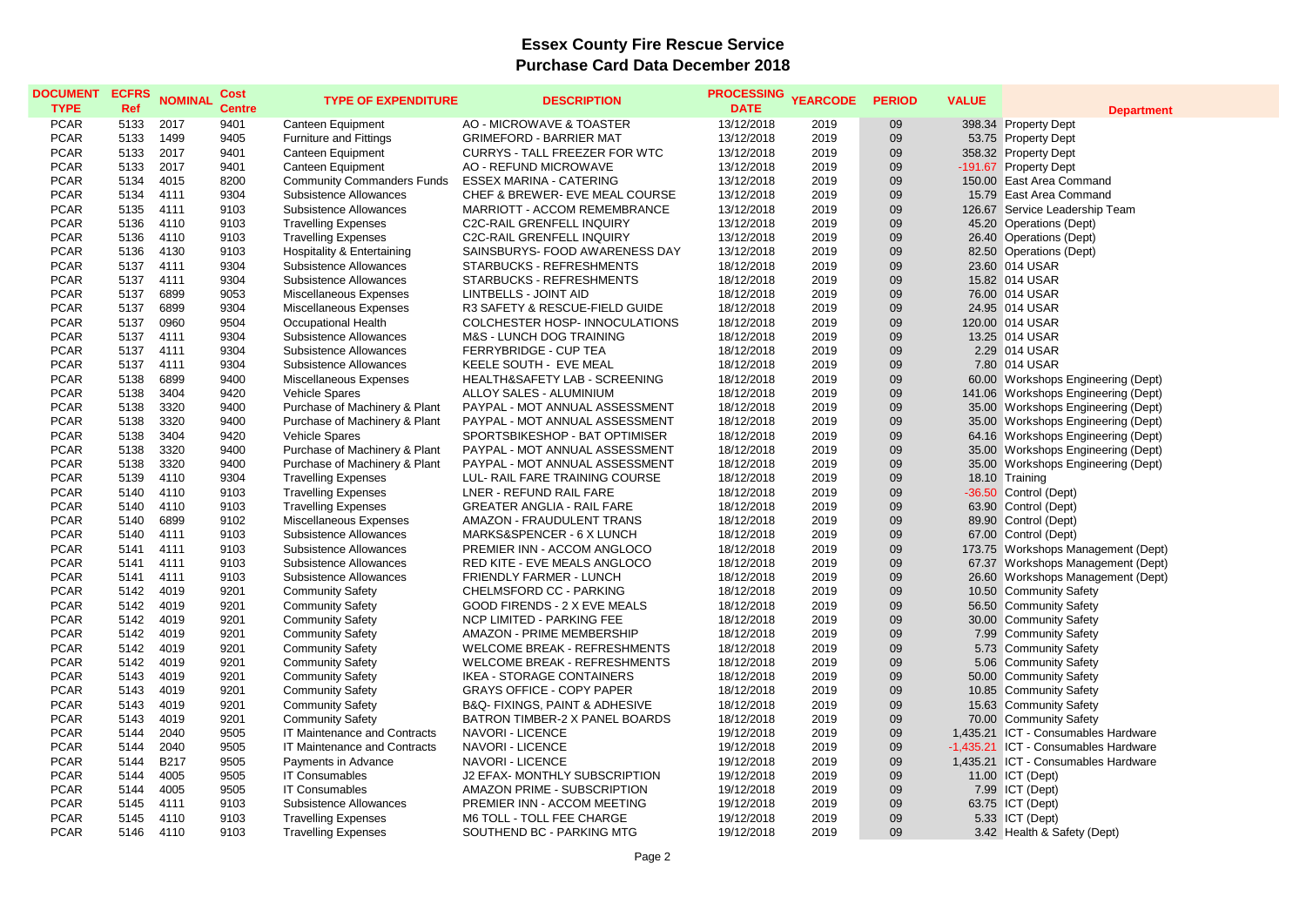| <b>DOCUMENT</b><br><b>TYPE</b> | <b>ECFRS</b><br>Ref | <b>NOMINAL</b> | <b>Cost</b><br><b>Centre</b> | <b>TYPE OF EXPENDITURE</b>        | <b>DESCRIPTION</b>                            | <b>PROCESSING</b><br><b>DATE</b> | <b>YEARCODE</b> | <b>PERIOD</b> | <b>VALUE</b> | <b>Department</b>                    |
|--------------------------------|---------------------|----------------|------------------------------|-----------------------------------|-----------------------------------------------|----------------------------------|-----------------|---------------|--------------|--------------------------------------|
| <b>PCAR</b>                    | 5133                | 2017           | 9401                         | Canteen Equipment                 | AO - MICROWAVE & TOASTER                      | 13/12/2018                       | 2019            | 09            |              | 398.34 Property Dept                 |
| <b>PCAR</b>                    | 5133                | 1499           | 9405                         | <b>Furniture and Fittings</b>     | <b>GRIMEFORD - BARRIER MAT</b>                | 13/12/2018                       | 2019            | 09            |              | 53.75 Property Dept                  |
| <b>PCAR</b>                    | 5133                | 2017           | 9401                         | Canteen Equipment                 | <b>CURRYS - TALL FREEZER FOR WTC</b>          | 13/12/2018                       | 2019            | 09            |              | 358.32 Property Dept                 |
| <b>PCAR</b>                    | 5133                | 2017           | 9401                         | Canteen Equipment                 | AO - REFUND MICROWAVE                         | 13/12/2018                       | 2019            | 09            |              | -191.67 Property Dept                |
| <b>PCAR</b>                    | 5134                | 4015           | 8200                         | <b>Community Commanders Funds</b> | <b>ESSEX MARINA - CATERING</b>                | 13/12/2018                       | 2019            | 09            |              | 150.00 East Area Command             |
| <b>PCAR</b>                    | 5134                | 4111           | 9304                         | <b>Subsistence Allowances</b>     | CHEF & BREWER- EVE MEAL COURSE                | 13/12/2018                       | 2019            | 09            |              | 15.79 East Area Command              |
| <b>PCAR</b>                    | 5135                | 4111           | 9103                         | Subsistence Allowances            | MARRIOTT - ACCOM REMEMBRANCE                  | 13/12/2018                       | 2019            | 09            |              | 126.67 Service Leadership Team       |
| <b>PCAR</b>                    | 5136                | 4110           | 9103                         | <b>Travelling Expenses</b>        | <b>C2C-RAIL GRENFELL INQUIRY</b>              | 13/12/2018                       | 2019            | 09            |              | 45.20 Operations (Dept)              |
| <b>PCAR</b>                    | 5136                | 4110           | 9103                         | <b>Travelling Expenses</b>        | <b>C2C-RAIL GRENFELL INQUIRY</b>              | 13/12/2018                       | 2019            | 09            |              | 26.40 Operations (Dept)              |
| <b>PCAR</b>                    | 5136                | 4130           | 9103                         | Hospitality & Entertaining        | SAINSBURYS- FOOD AWARENESS DAY                | 13/12/2018                       | 2019            | 09            |              | 82.50 Operations (Dept)              |
| <b>PCAR</b>                    | 5137                | 4111           | 9304                         | Subsistence Allowances            | STARBUCKS - REFRESHMENTS                      | 18/12/2018                       | 2019            | 09            |              | 23.60 014 USAR                       |
| <b>PCAR</b>                    | 5137                | 4111           | 9304                         | Subsistence Allowances            | STARBUCKS - REFRESHMENTS                      | 18/12/2018                       | 2019            | 09            |              | 15.82 014 USAR                       |
| <b>PCAR</b>                    | 5137                | 6899           | 9053                         | Miscellaneous Expenses            | <b>LINTBELLS - JOINT AID</b>                  | 18/12/2018                       | 2019            | 09            |              | 76.00 014 USAR                       |
| <b>PCAR</b>                    | 5137                | 6899           | 9304                         | Miscellaneous Expenses            | R3 SAFETY & RESCUE-FIELD GUIDE                | 18/12/2018                       | 2019            | 09            |              | 24.95 014 USAR                       |
| <b>PCAR</b>                    | 5137                | 0960           | 9504                         | <b>Occupational Health</b>        | COLCHESTER HOSP- INNOCULATIONS                | 18/12/2018                       | 2019            | 09            |              | 120.00 014 USAR                      |
| <b>PCAR</b>                    | 5137                | 4111           | 9304                         | Subsistence Allowances            | <b>M&amp;S - LUNCH DOG TRAINING</b>           | 18/12/2018                       | 2019            | 09            |              | 13.25 014 USAR                       |
| <b>PCAR</b>                    | 5137                | 4111           | 9304                         | Subsistence Allowances            | FERRYBRIDGE - CUP TEA                         | 18/12/2018                       | 2019            | 09            |              | 2.29 014 USAR                        |
| <b>PCAR</b>                    | 5137                | 4111           | 9304                         | Subsistence Allowances            | KEELE SOUTH - EVE MEAL                        | 18/12/2018                       | 2019            | 09            |              | 7.80 014 USAR                        |
| <b>PCAR</b>                    | 5138                | 6899           | 9400                         | Miscellaneous Expenses            | HEALTH&SAFETY LAB - SCREENING                 | 18/12/2018                       | 2019            | 09            |              | 60.00 Workshops Engineering (Dept)   |
| <b>PCAR</b>                    | 5138                | 3404           | 9420                         | Vehicle Spares                    | ALLOY SALES - ALUMINIUM                       | 18/12/2018                       | 2019            | 09            |              | 141.06 Workshops Engineering (Dept)  |
| <b>PCAR</b>                    | 5138                | 3320           | 9400                         | Purchase of Machinery & Plant     | PAYPAL - MOT ANNUAL ASSESSMENT                | 18/12/2018                       | 2019            | 09            |              | 35.00 Workshops Engineering (Dept)   |
| <b>PCAR</b>                    | 5138                | 3320           | 9400                         | Purchase of Machinery & Plant     | PAYPAL - MOT ANNUAL ASSESSMENT                | 18/12/2018                       | 2019            | 09            |              | 35.00 Workshops Engineering (Dept)   |
| <b>PCAR</b>                    | 5138                | 3404           | 9420                         | Vehicle Spares                    | SPORTSBIKESHOP - BAT OPTIMISER                | 18/12/2018                       | 2019            | 09            |              | 64.16 Workshops Engineering (Dept)   |
| <b>PCAR</b>                    | 5138                | 3320           | 9400                         | Purchase of Machinery & Plant     | PAYPAL - MOT ANNUAL ASSESSMENT                | 18/12/2018                       | 2019            | 09            |              | 35.00 Workshops Engineering (Dept)   |
| <b>PCAR</b>                    | 5138                | 3320           | 9400                         | Purchase of Machinery & Plant     | PAYPAL - MOT ANNUAL ASSESSMENT                | 18/12/2018                       | 2019            | 09            |              | 35.00 Workshops Engineering (Dept)   |
| <b>PCAR</b>                    | 5139                | 4110           | 9304                         | <b>Travelling Expenses</b>        | LUL- RAIL FARE TRAINING COURSE                | 18/12/2018                       | 2019            | 09            |              | 18.10 Training                       |
| <b>PCAR</b>                    | 5140                | 4110           | 9103                         | <b>Travelling Expenses</b>        | LNER - REFUND RAIL FARE                       | 18/12/2018                       | 2019            | 09            |              | -36.50 Control (Dept)                |
| <b>PCAR</b>                    | 5140                | 4110           | 9103                         | <b>Travelling Expenses</b>        | <b>GREATER ANGLIA - RAIL FARE</b>             | 18/12/2018                       | 2019            | 09            |              | 63.90 Control (Dept)                 |
| <b>PCAR</b>                    | 5140                | 6899           | 9102                         | Miscellaneous Expenses            | AMAZON - FRAUDULENT TRANS                     | 18/12/2018                       | 2019            | 09            |              | 89.90 Control (Dept)                 |
| <b>PCAR</b>                    | 5140                | 4111           | 9103                         | Subsistence Allowances            | MARKS&SPENCER - 6 X LUNCH                     | 18/12/2018                       | 2019            | 09            |              | 67.00 Control (Dept)                 |
| <b>PCAR</b>                    | 5141                | 4111           | 9103                         | Subsistence Allowances            | PREMIER INN - ACCOM ANGLOCO                   | 18/12/2018                       | 2019            | 09            |              | 173.75 Workshops Management (Dept)   |
| <b>PCAR</b>                    | 5141                | 4111           | 9103                         | Subsistence Allowances            | RED KITE - EVE MEALS ANGLOCO                  | 18/12/2018                       | 2019            | 09            |              | 67.37 Workshops Management (Dept)    |
| <b>PCAR</b>                    | 5141                | 4111           | 9103                         | <b>Subsistence Allowances</b>     | FRIENDLY FARMER - LUNCH                       | 18/12/2018                       | 2019            | 09            |              | 26.60 Workshops Management (Dept)    |
| <b>PCAR</b>                    | 5142                | 4019           | 9201                         | <b>Community Safety</b>           | CHELMSFORD CC - PARKING                       | 18/12/2018                       | 2019            | 09            |              | 10.50 Community Safety               |
| <b>PCAR</b>                    | 5142                | 4019           | 9201                         | <b>Community Safety</b>           | GOOD FIRENDS - 2 X EVE MEALS                  | 18/12/2018                       | 2019            | 09            |              | 56.50 Community Safety               |
| <b>PCAR</b>                    | 5142                | 4019           | 9201                         | <b>Community Safety</b>           | <b>NCP LIMITED - PARKING FEE</b>              | 18/12/2018                       | 2019            | 09            |              | 30.00 Community Safety               |
| <b>PCAR</b>                    | 5142                | 4019           | 9201                         | <b>Community Safety</b>           | AMAZON - PRIME MEMBERSHIP                     | 18/12/2018                       | 2019            | 09            |              | 7.99 Community Safety                |
| <b>PCAR</b>                    | 5142                | 4019           | 9201                         | <b>Community Safety</b>           | <b>WELCOME BREAK - REFRESHMENTS</b>           | 18/12/2018                       | 2019            | 09            |              | 5.73 Community Safety                |
| <b>PCAR</b>                    | 5142                | 4019           | 9201                         | <b>Community Safety</b>           | <b>WELCOME BREAK - REFRESHMENTS</b>           | 18/12/2018                       | 2019            | 09            |              | 5.06 Community Safety                |
| <b>PCAR</b>                    | 5143                | 4019           | 9201                         | <b>Community Safety</b>           | <b>IKEA - STORAGE CONTAINERS</b>              | 18/12/2018                       | 2019            | 09            |              | 50.00 Community Safety               |
| <b>PCAR</b>                    | 5143                | 4019           | 9201                         | <b>Community Safety</b>           | <b>GRAYS OFFICE - COPY PAPER</b>              | 18/12/2018                       | 2019            | 09            |              | 10.85 Community Safety               |
| <b>PCAR</b>                    | 5143                | 4019           | 9201                         | <b>Community Safety</b>           | <b>B&amp;Q- FIXINGS, PAINT &amp; ADHESIVE</b> | 18/12/2018                       | 2019            | 09            |              | 15.63 Community Safety               |
| <b>PCAR</b>                    | 5143                | 4019           | 9201                         | <b>Community Safety</b>           | BATRON TIMBER-2 X PANEL BOARDS                | 18/12/2018                       | 2019            | 09            |              | 70.00 Community Safety               |
| <b>PCAR</b>                    | 5144                | 2040           | 9505                         | IT Maintenance and Contracts      | <b>NAVORI - LICENCE</b>                       | 19/12/2018                       | 2019            | 09            |              | 1,435.21 ICT - Consumables Hardware  |
| <b>PCAR</b>                    | 5144                | 2040           | 9505                         | IT Maintenance and Contracts      | <b>NAVORI - LICENCE</b>                       | 19/12/2018                       | 2019            | 09            |              | -1,435.21 ICT - Consumables Hardware |
| <b>PCAR</b>                    | 5144                | <b>B217</b>    | 9505                         | Payments in Advance               | <b>NAVORI - LICENCE</b>                       | 19/12/2018                       | 2019            | 09            |              | 1,435.21 ICT - Consumables Hardware  |
| <b>PCAR</b>                    | 5144                | 4005           | 9505                         | <b>IT Consumables</b>             | J2 EFAX- MONTHLY SUBSCRIPTION                 | 19/12/2018                       | 2019            | 09            |              | 11.00 ICT (Dept)                     |
| <b>PCAR</b>                    | 5144                | 4005           | 9505                         | <b>IT Consumables</b>             | AMAZON PRIME - SUBSCRIPTION                   | 19/12/2018                       | 2019            | 09            |              | 7.99 ICT (Dept)                      |
| <b>PCAR</b>                    | 5145                | 4111           | 9103                         | <b>Subsistence Allowances</b>     | PREMIER INN - ACCOM MEETING                   | 19/12/2018                       | 2019            | 09            |              | 63.75 ICT (Dept)                     |
| <b>PCAR</b>                    | 5145                | 4110           | 9103                         |                                   | M6 TOLL - TOLL FEE CHARGE                     | 19/12/2018                       | 2019            | 09            |              | 5.33 ICT (Dept)                      |
| <b>PCAR</b>                    |                     | 4110           | 9103                         | <b>Travelling Expenses</b>        |                                               |                                  | 2019            | 09            |              |                                      |
|                                | 5146                |                |                              | <b>Travelling Expenses</b>        | SOUTHEND BC - PARKING MTG                     | 19/12/2018                       |                 |               |              | 3.42 Health & Safety (Dept)          |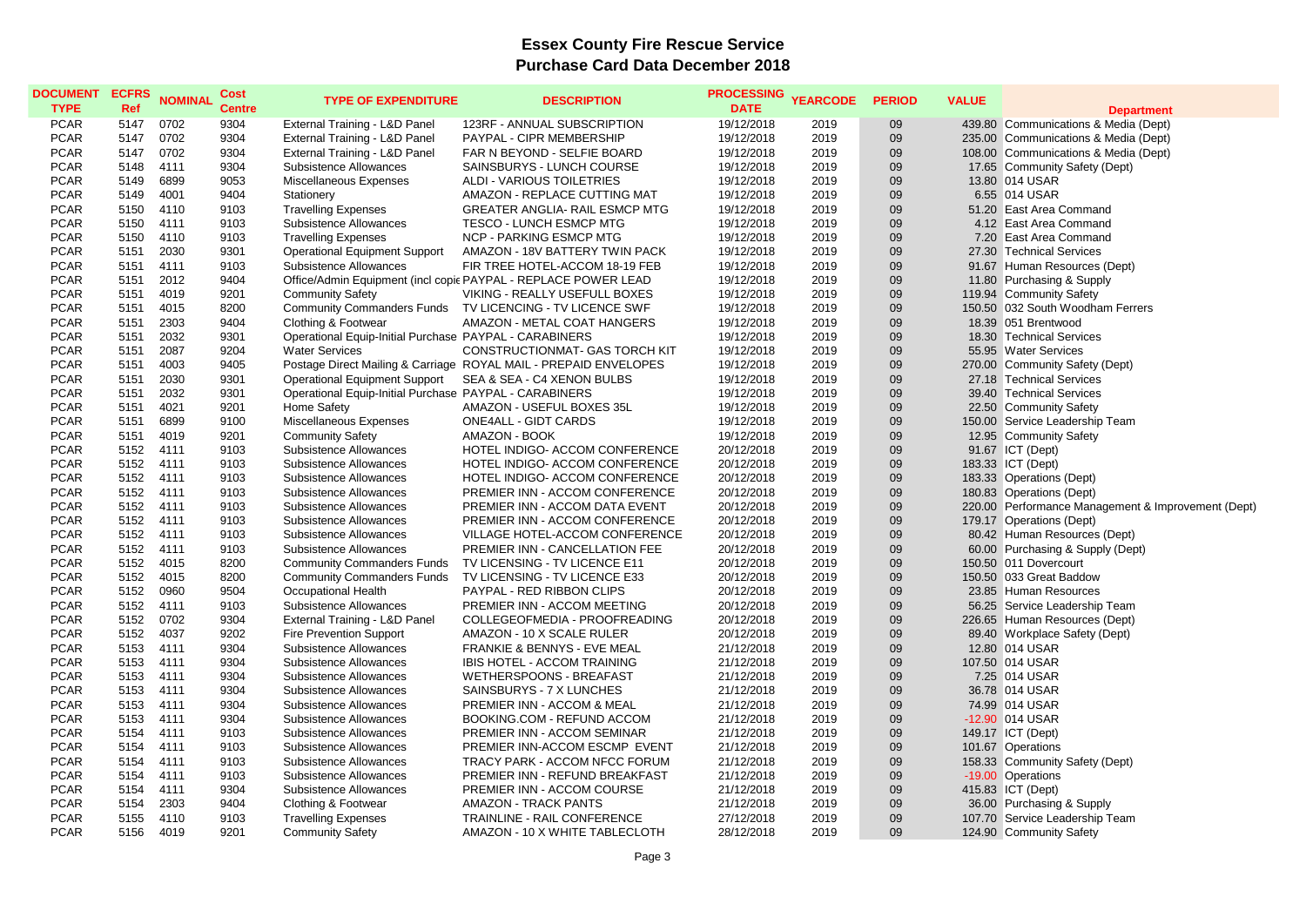| <b>DOCUMENT</b><br><b>TYPE</b> | <b>ECFRS</b><br>Ref | <b>NOMINAL</b> | Cost<br><b>Centre</b> | <b>TYPE OF EXPENDITURE</b>                             | <b>DESCRIPTION</b>                                               | PROCESSING YEARCODE<br><b>DATE</b> |      | <b>PERIOD</b> | <b>VALUE</b> | <b>Department</b>                                  |
|--------------------------------|---------------------|----------------|-----------------------|--------------------------------------------------------|------------------------------------------------------------------|------------------------------------|------|---------------|--------------|----------------------------------------------------|
| <b>PCAR</b>                    | 5147                | 0702           | 9304                  | External Training - L&D Panel                          | 123RF - ANNUAL SUBSCRIPTION                                      | 19/12/2018                         | 2019 | 09            |              | 439.80 Communications & Media (Dept)               |
| <b>PCAR</b>                    | 5147                | 0702           | 9304                  | External Training - L&D Panel                          | PAYPAL - CIPR MEMBERSHIP                                         | 19/12/2018                         | 2019 | 09            |              | 235.00 Communications & Media (Dept)               |
| <b>PCAR</b>                    | 5147                | 0702           | 9304                  | External Training - L&D Panel                          | FAR N BEYOND - SELFIE BOARD                                      | 19/12/2018                         | 2019 | 09            |              | 108.00 Communications & Media (Dept)               |
| <b>PCAR</b>                    | 5148                | 4111           | 9304                  | Subsistence Allowances                                 | SAINSBURYS - LUNCH COURSE                                        | 19/12/2018                         | 2019 | 09            |              | 17.65 Community Safety (Dept)                      |
| <b>PCAR</b>                    | 5149                | 6899           | 9053                  | Miscellaneous Expenses                                 | ALDI - VARIOUS TOILETRIES                                        | 19/12/2018                         | 2019 | 09            |              | 13.80 014 USAR                                     |
| <b>PCAR</b>                    | 5149                | 4001           | 9404                  | Stationery                                             | AMAZON - REPLACE CUTTING MAT                                     | 19/12/2018                         | 2019 | 09            |              | 6.55 014 USAR                                      |
| <b>PCAR</b>                    | 5150                | 4110           | 9103                  | <b>Travelling Expenses</b>                             | GREATER ANGLIA- RAIL ESMCP MTG                                   | 19/12/2018                         | 2019 | 09            |              | 51.20 East Area Command                            |
| <b>PCAR</b>                    | 5150                | 4111           | 9103                  | Subsistence Allowances                                 | TESCO - LUNCH ESMCP MTG                                          | 19/12/2018                         | 2019 | 09            |              | 4.12 East Area Command                             |
| <b>PCAR</b>                    | 5150                | 4110           | 9103                  | <b>Travelling Expenses</b>                             | <b>NCP - PARKING ESMCP MTG</b>                                   | 19/12/2018                         | 2019 | 09            |              | 7.20 East Area Command                             |
| <b>PCAR</b>                    | 5151                | 2030           | 9301                  | Operational Equipment Support                          | AMAZON - 18V BATTERY TWIN PACK                                   | 19/12/2018                         | 2019 | 09            |              | 27.30 Technical Services                           |
| <b>PCAR</b>                    | 5151                | 4111           | 9103                  | Subsistence Allowances                                 | FIR TREE HOTEL-ACCOM 18-19 FEB                                   | 19/12/2018                         | 2019 | 09            |              | 91.67 Human Resources (Dept)                       |
| <b>PCAR</b>                    | 5151                | 2012           | 9404                  |                                                        | Office/Admin Equipment (incl copic PAYPAL - REPLACE POWER LEAD   | 19/12/2018                         | 2019 | 09            |              | 11.80 Purchasing & Supply                          |
| <b>PCAR</b>                    | 5151                | 4019           | 9201                  | <b>Community Safety</b>                                | VIKING - REALLY USEFULL BOXES                                    | 19/12/2018                         | 2019 | 09            |              | 119.94 Community Safety                            |
| <b>PCAR</b>                    | 5151                | 4015           | 8200                  |                                                        | Community Commanders Funds    TV LICENCING - TV LICENCE SWF      | 19/12/2018                         | 2019 | 09            |              | 150.50 032 South Woodham Ferrers                   |
| <b>PCAR</b>                    | 5151                | 2303           | 9404                  | Clothing & Footwear                                    | AMAZON - METAL COAT HANGERS                                      | 19/12/2018                         | 2019 | 09            |              | 18.39 051 Brentwood                                |
| <b>PCAR</b>                    | 5151                | 2032           | 9301                  | Operational Equip-Initial Purchase PAYPAL - CARABINERS |                                                                  | 19/12/2018                         | 2019 | 09            |              | 18.30 Technical Services                           |
| <b>PCAR</b>                    | 5151                | 2087           | 9204                  | <b>Water Services</b>                                  | CONSTRUCTIONMAT- GAS TORCH KIT                                   | 19/12/2018                         | 2019 | 09            |              | 55.95 Water Services                               |
| <b>PCAR</b>                    | 5151                | 4003           | 9405                  |                                                        | Postage Direct Mailing & Carriage ROYAL MAIL - PREPAID ENVELOPES | 19/12/2018                         | 2019 | 09            |              | 270.00 Community Safety (Dept)                     |
| <b>PCAR</b>                    | 5151                | 2030           | 9301                  | <b>Operational Equipment Support</b>                   | SEA & SEA - C4 XENON BULBS                                       | 19/12/2018                         | 2019 | 09            |              | 27.18 Technical Services                           |
| <b>PCAR</b>                    | 5151                | 2032           | 9301                  | Operational Equip-Initial Purchase PAYPAL - CARABINERS |                                                                  | 19/12/2018                         | 2019 | 09            |              | 39.40 Technical Services                           |
| <b>PCAR</b>                    | 5151                | 4021           | 9201                  | Home Safety                                            | AMAZON - USEFUL BOXES 35L                                        | 19/12/2018                         | 2019 | 09            |              | 22.50 Community Safety                             |
| <b>PCAR</b>                    | 5151                | 6899           | 9100                  | Miscellaneous Expenses                                 | <b>ONE4ALL - GIDT CARDS</b>                                      | 19/12/2018                         | 2019 | 09            |              | 150.00 Service Leadership Team                     |
| <b>PCAR</b>                    | 5151                | 4019           | 9201                  | <b>Community Safety</b>                                | AMAZON - BOOK                                                    | 19/12/2018                         | 2019 | 09            |              | 12.95 Community Safety                             |
| <b>PCAR</b>                    | 5152                | 4111           | 9103                  | Subsistence Allowances                                 | HOTEL INDIGO- ACCOM CONFERENCE                                   | 20/12/2018                         | 2019 | 09            |              | 91.67 ICT (Dept)                                   |
| <b>PCAR</b>                    | 5152                | 4111           | 9103                  | Subsistence Allowances                                 | HOTEL INDIGO- ACCOM CONFERENCE                                   | 20/12/2018                         | 2019 | 09            |              | 183.33 ICT (Dept)                                  |
| <b>PCAR</b>                    | 5152                | 4111           | 9103                  | Subsistence Allowances                                 | HOTEL INDIGO- ACCOM CONFERENCE                                   | 20/12/2018                         | 2019 | 09            |              | 183.33 Operations (Dept)                           |
| <b>PCAR</b>                    | 5152                | 4111           | 9103                  | Subsistence Allowances                                 | PREMIER INN - ACCOM CONFERENCE                                   | 20/12/2018                         | 2019 | 09            |              | 180.83 Operations (Dept)                           |
| <b>PCAR</b>                    | 5152                | 4111           | 9103                  | Subsistence Allowances                                 | PREMIER INN - ACCOM DATA EVENT                                   | 20/12/2018                         | 2019 | 09            |              | 220.00 Performance Management & Improvement (Dept) |
| <b>PCAR</b>                    | 5152                | 4111           | 9103                  | Subsistence Allowances                                 | PREMIER INN - ACCOM CONFERENCE                                   | 20/12/2018                         | 2019 | 09            |              | 179.17 Operations (Dept)                           |
| <b>PCAR</b>                    | 5152                | 4111           | 9103                  | Subsistence Allowances                                 | VILLAGE HOTEL-ACCOM CONFERENCE                                   | 20/12/2018                         | 2019 | 09            |              | 80.42 Human Resources (Dept)                       |
| <b>PCAR</b>                    | 5152                | 4111           | 9103                  | Subsistence Allowances                                 | PREMIER INN - CANCELLATION FEE                                   | 20/12/2018                         | 2019 | 09            |              | 60.00 Purchasing & Supply (Dept)                   |
| <b>PCAR</b>                    | 5152                | 4015           | 8200                  | <b>Community Commanders Funds</b>                      | TV LICENSING - TV LICENCE E11                                    | 20/12/2018                         | 2019 | 09            |              | 150.50 011 Dovercourt                              |
| <b>PCAR</b>                    | 5152                | 4015           | 8200                  | <b>Community Commanders Funds</b>                      | TV LICENSING - TV LICENCE E33                                    | 20/12/2018                         | 2019 | 09            |              | 150.50 033 Great Baddow                            |
| <b>PCAR</b>                    | 5152                | 0960           | 9504                  | Occupational Health                                    | PAYPAL - RED RIBBON CLIPS                                        | 20/12/2018                         | 2019 | 09            |              | 23.85 Human Resources                              |
| <b>PCAR</b>                    | 5152                | 4111           | 9103                  | Subsistence Allowances                                 | PREMIER INN - ACCOM MEETING                                      | 20/12/2018                         | 2019 | 09            |              | 56.25 Service Leadership Team                      |
| <b>PCAR</b>                    | 5152                | 0702           | 9304                  | External Training - L&D Panel                          | COLLEGEOFMEDIA - PROOFREADING                                    | 20/12/2018                         | 2019 | 09            |              | 226.65 Human Resources (Dept)                      |
| <b>PCAR</b>                    | 5152                | 4037           | 9202                  | <b>Fire Prevention Support</b>                         | AMAZON - 10 X SCALE RULER                                        | 20/12/2018                         | 2019 | 09            |              | 89.40 Workplace Safety (Dept)                      |
| <b>PCAR</b>                    | 5153                | 4111           | 9304                  | Subsistence Allowances                                 | FRANKIE & BENNYS - EVE MEAL                                      | 21/12/2018                         | 2019 | 09            |              | 12.80 014 USAR                                     |
| <b>PCAR</b>                    | 5153                | 4111           | 9304                  | <b>Subsistence Allowances</b>                          | IBIS HOTEL - ACCOM TRAINING                                      | 21/12/2018                         | 2019 | 09            |              | 107.50 014 USAR                                    |
| <b>PCAR</b>                    | 5153                | 4111           | 9304                  | <b>Subsistence Allowances</b>                          | WETHERSPOONS - BREAFAST                                          | 21/12/2018                         | 2019 | 09            |              | 7.25 014 USAR                                      |
| <b>PCAR</b>                    | 5153                | 4111           | 9304                  | Subsistence Allowances                                 | SAINSBURYS - 7 X LUNCHES                                         | 21/12/2018                         | 2019 | 09            |              | 36.78 014 USAR                                     |
| <b>PCAR</b>                    | 5153                | 4111           | 9304                  | <b>Subsistence Allowances</b>                          | PREMIER INN - ACCOM & MEAL                                       | 21/12/2018                         | 2019 | 09            |              | 74.99 014 USAR                                     |
| <b>PCAR</b>                    | 5153                | 4111           | 9304                  | Subsistence Allowances                                 | BOOKING.COM - REFUND ACCOM                                       | 21/12/2018                         | 2019 | 09            |              | -12.90 014 USAR                                    |
| <b>PCAR</b>                    | 5154                | 4111           | 9103                  | Subsistence Allowances                                 | PREMIER INN - ACCOM SEMINAR                                      | 21/12/2018                         | 2019 | 09            |              | 149.17 ICT (Dept)                                  |
| <b>PCAR</b>                    | 5154                | 4111           | 9103                  | <b>Subsistence Allowances</b>                          | PREMIER INN-ACCOM ESCMP EVENT                                    | 21/12/2018                         | 2019 | 09            |              | 101.67 Operations                                  |
| <b>PCAR</b>                    | 5154                | 4111           | 9103                  | Subsistence Allowances                                 | TRACY PARK - ACCOM NFCC FORUM                                    | 21/12/2018                         | 2019 | 09            |              | 158.33 Community Safety (Dept)                     |
| <b>PCAR</b>                    | 5154                | 4111           | 9103                  | Subsistence Allowances                                 | PREMIER INN - REFUND BREAKFAST                                   | 21/12/2018                         | 2019 | 09            |              | -19.00 Operations                                  |
|                                |                     | 4111           |                       |                                                        |                                                                  |                                    | 2019 | 09            |              |                                                    |
| <b>PCAR</b>                    | 5154                |                | 9304                  | Subsistence Allowances                                 | PREMIER INN - ACCOM COURSE                                       | 21/12/2018                         | 2019 | 09            |              | 415.83 ICT (Dept)                                  |
| <b>PCAR</b>                    | 5154                | 2303           | 9404                  | Clothing & Footwear                                    | <b>AMAZON - TRACK PANTS</b>                                      | 21/12/2018                         |      |               |              | 36.00 Purchasing & Supply                          |
| <b>PCAR</b>                    | 5155                | 4110           | 9103                  | <b>Travelling Expenses</b>                             | <b>TRAINLINE - RAIL CONFERENCE</b>                               | 27/12/2018                         | 2019 | 09            |              | 107.70 Service Leadership Team                     |
| <b>PCAR</b>                    | 5156                | 4019           | 9201                  | <b>Community Safety</b>                                | AMAZON - 10 X WHITE TABLECLOTH                                   | 28/12/2018                         | 2019 | 09            |              | 124.90 Community Safety                            |